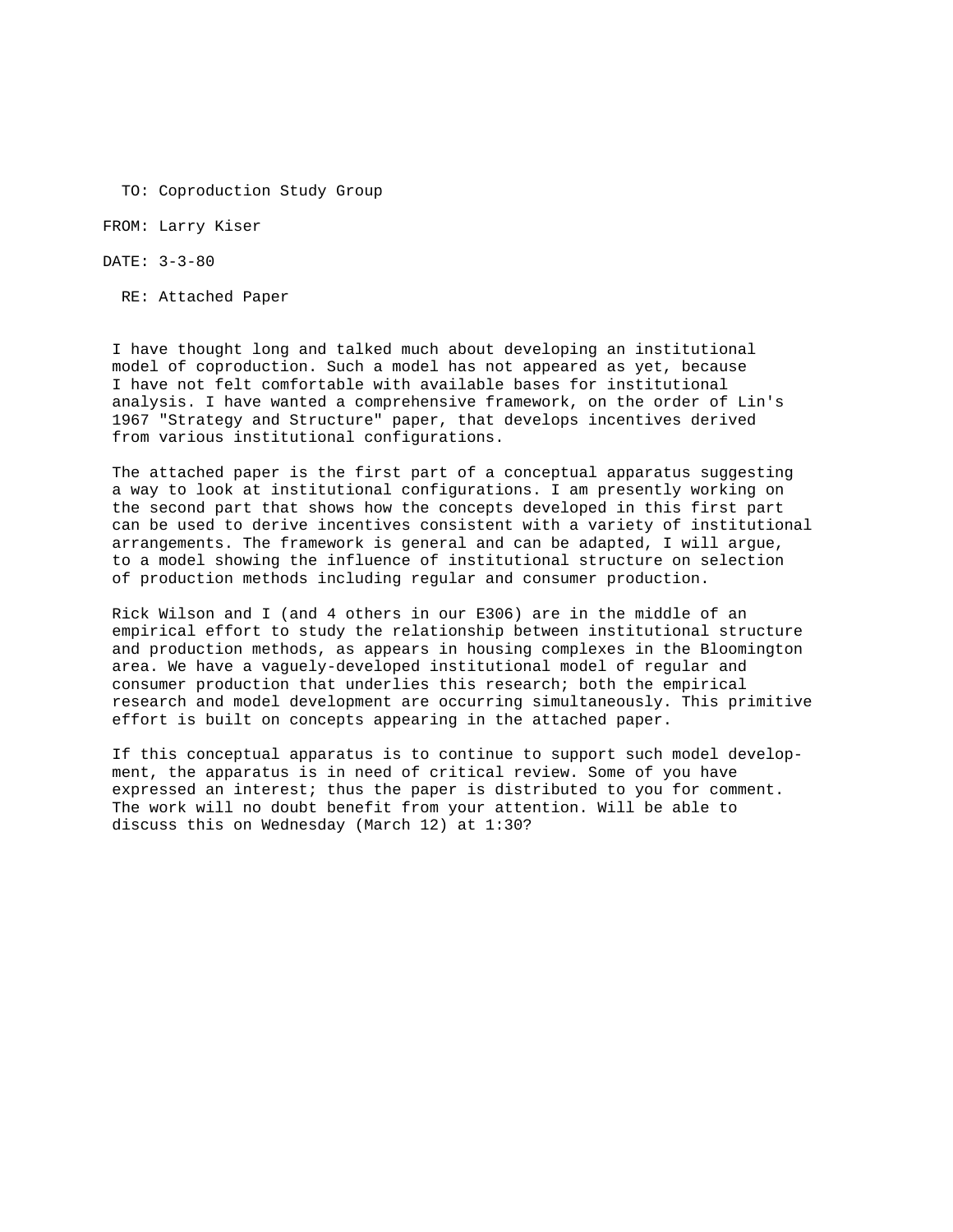TO: Coproduction Study Group

FROM: Larry Kiser

DATE: 3-3-80

RE: Attached Paper

I have thought long and talked much about developing an institutional model of coproduction. Such a model has not appeared as yet, because I have not felt comfortable with available bases for institutional analysis. I have wanted a comprehensive framework, on the order of Lin's 1967 "Strategy and Structure" paper, that develops incentives derived from various institutional configurations.

The attached paper is the first part of a conceptual apparatus suggesting a way to look at institutional configurations. I am presently working on the second part that shows how the concepts developed in this first part can be used to derive incentives consistent with a variety of institutional arrangements. The framework is general and can be adapted, I will argue, to a model showing the influence of institutional structure on selection of production methods including regular and consumer production.

Rick Wilson and I (and 4 others in our E306) are in the middle of an empirical effort to study the relationship between institutional structure and production methods, as appears in housing complexes in the Bloomington area. We have a vaguely-developed institutional model of regular and consumer production that underlies this research; both the empirical research and model development are occurring simultaneously. This primitive effort is built on concepts appearing in the attached paper.

If this conceptual apparatus is to continue to support such model development, the apparatus is in need of critical review. Some of you have expressed an interest; thus the paper is distributed to you for comment. The work will no doubt benefit from your attention. Will be able to discuss this on Wednesday (March 12) at 1:30?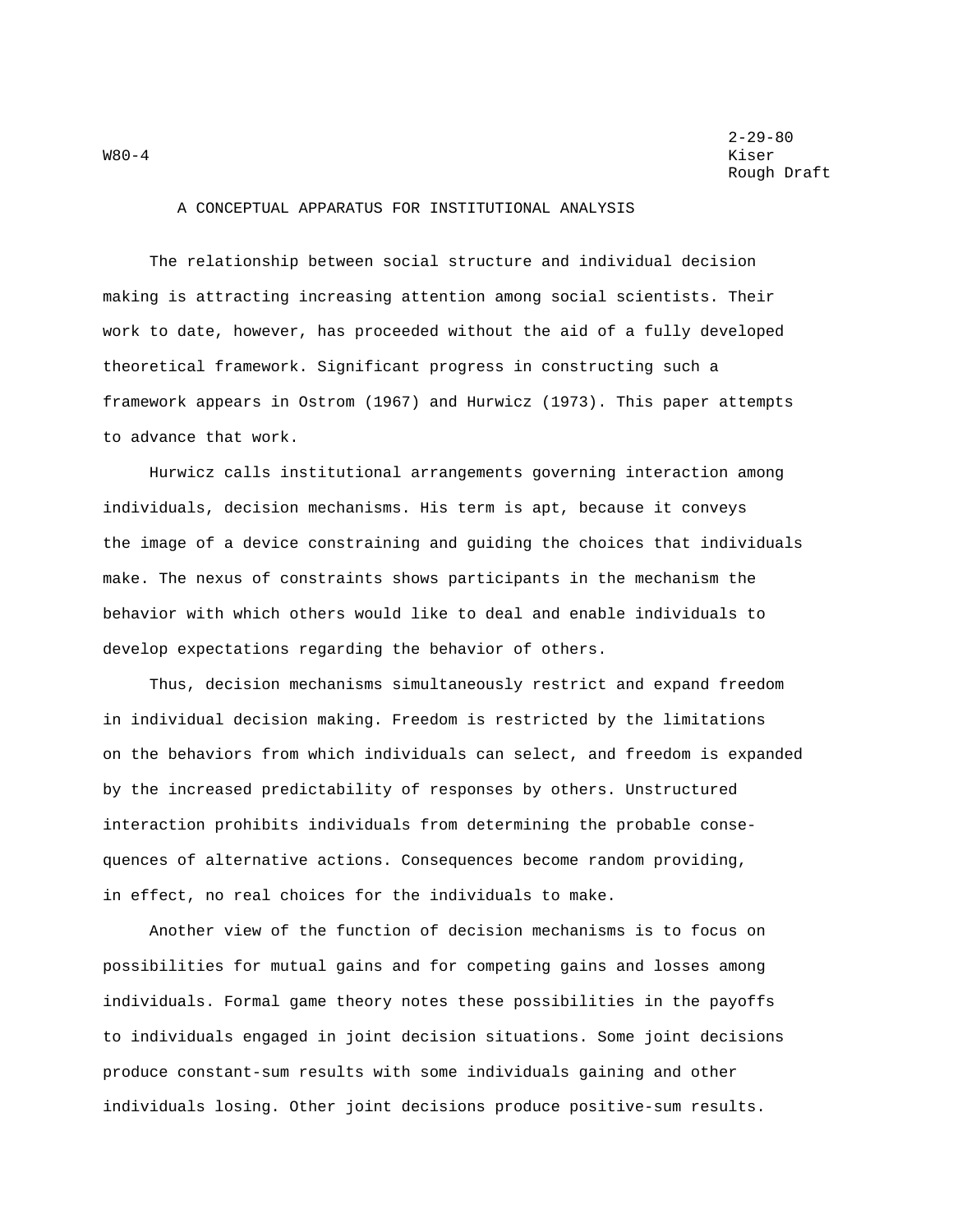A CONCEPTUAL APPARATUS FOR INSTITUTIONAL ANALYSIS

The relationship between social structure and individual decision making is attracting increasing attention among social scientists. Their work to date, however, has proceeded without the aid of a fully developed theoretical framework. Significant progress in constructing such a framework appears in Ostrom (1967) and Hurwicz (1973). This paper attempts to advance that work.

Hurwicz calls institutional arrangements governing interaction among individuals, decision mechanisms. His term is apt, because it conveys the image of a device constraining and guiding the choices that individuals make. The nexus of constraints shows participants in the mechanism the behavior with which others would like to deal and enable individuals to develop expectations regarding the behavior of others.

Thus, decision mechanisms simultaneously restrict and expand freedom in individual decision making. Freedom is restricted by the limitations on the behaviors from which individuals can select, and freedom is expanded by the increased predictability of responses by others. Unstructured interaction prohibits individuals from determining the probable consequences of alternative actions. Consequences become random providing, in effect, no real choices for the individuals to make.

Another view of the function of decision mechanisms is to focus on possibilities for mutual gains and for competing gains and losses among individuals. Formal game theory notes these possibilities in the payoffs to individuals engaged in joint decision situations. Some joint decisions produce constant-sum results with some individuals gaining and other individuals losing. Other joint decisions produce positive-sum results.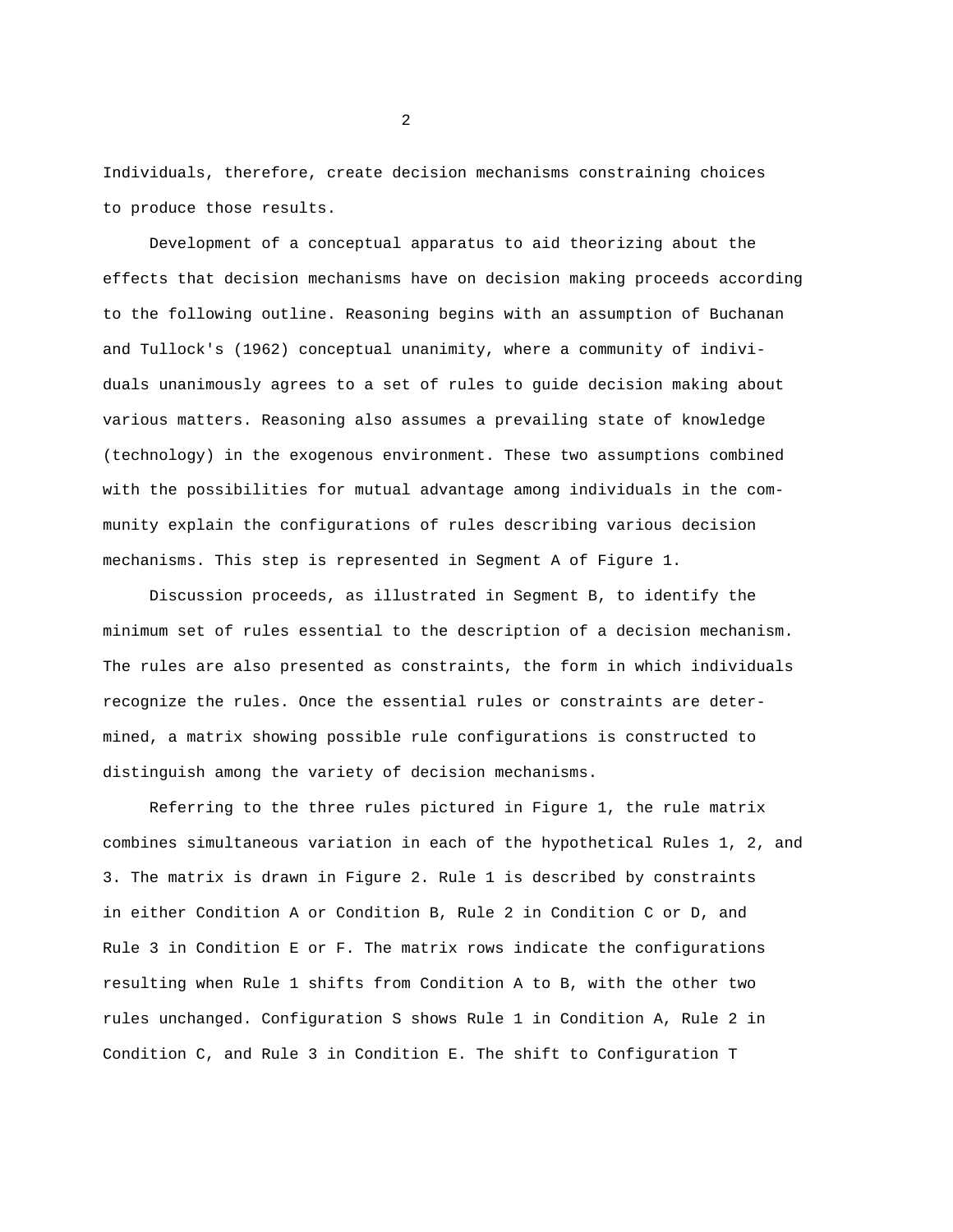Individuals, therefore, create decision mechanisms constraining choices to produce those results.

Development of a conceptual apparatus to aid theorizing about the effects that decision mechanisms have on decision making proceeds according to the following outline. Reasoning begins with an assumption of Buchanan and Tullock's (1962) conceptual unanimity, where a community of individuals unanimously agrees to a set of rules to guide decision making about various matters. Reasoning also assumes a prevailing state of knowledge (technology) in the exogenous environment. These two assumptions combined with the possibilities for mutual advantage among individuals in the community explain the configurations of rules describing various decision mechanisms. This step is represented in Segment A of Figure 1.

Discussion proceeds, as illustrated in Segment B, to identify the minimum set of rules essential to the description of a decision mechanism. The rules are also presented as constraints, the form in which individuals recognize the rules. Once the essential rules or constraints are determined, a matrix showing possible rule configurations is constructed to distinguish among the variety of decision mechanisms.

Referring to the three rules pictured in Figure 1, the rule matrix combines simultaneous variation in each of the hypothetical Rules 1, 2, and 3. The matrix is drawn in Figure 2. Rule 1 is described by constraints in either Condition A or Condition B, Rule 2 in Condition C or D, and Rule 3 in Condition E or F. The matrix rows indicate the configurations resulting when Rule 1 shifts from Condition A to B, with the other two rules unchanged. Configuration S shows Rule 1 in Condition A, Rule 2 in Condition C, and Rule 3 in Condition E. The shift to Configuration T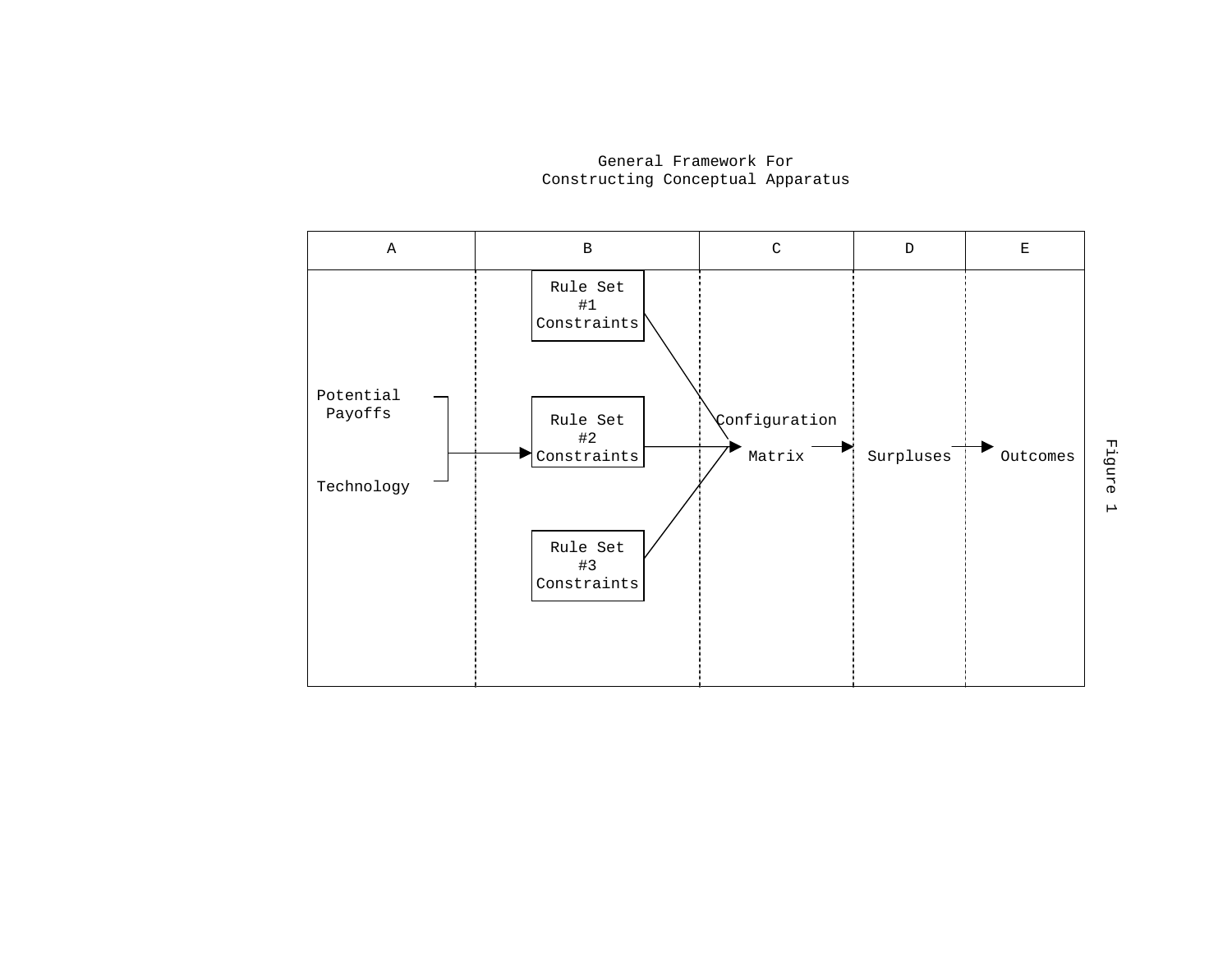

General Framework For Constructing Conceptual Apparatus

Figure 1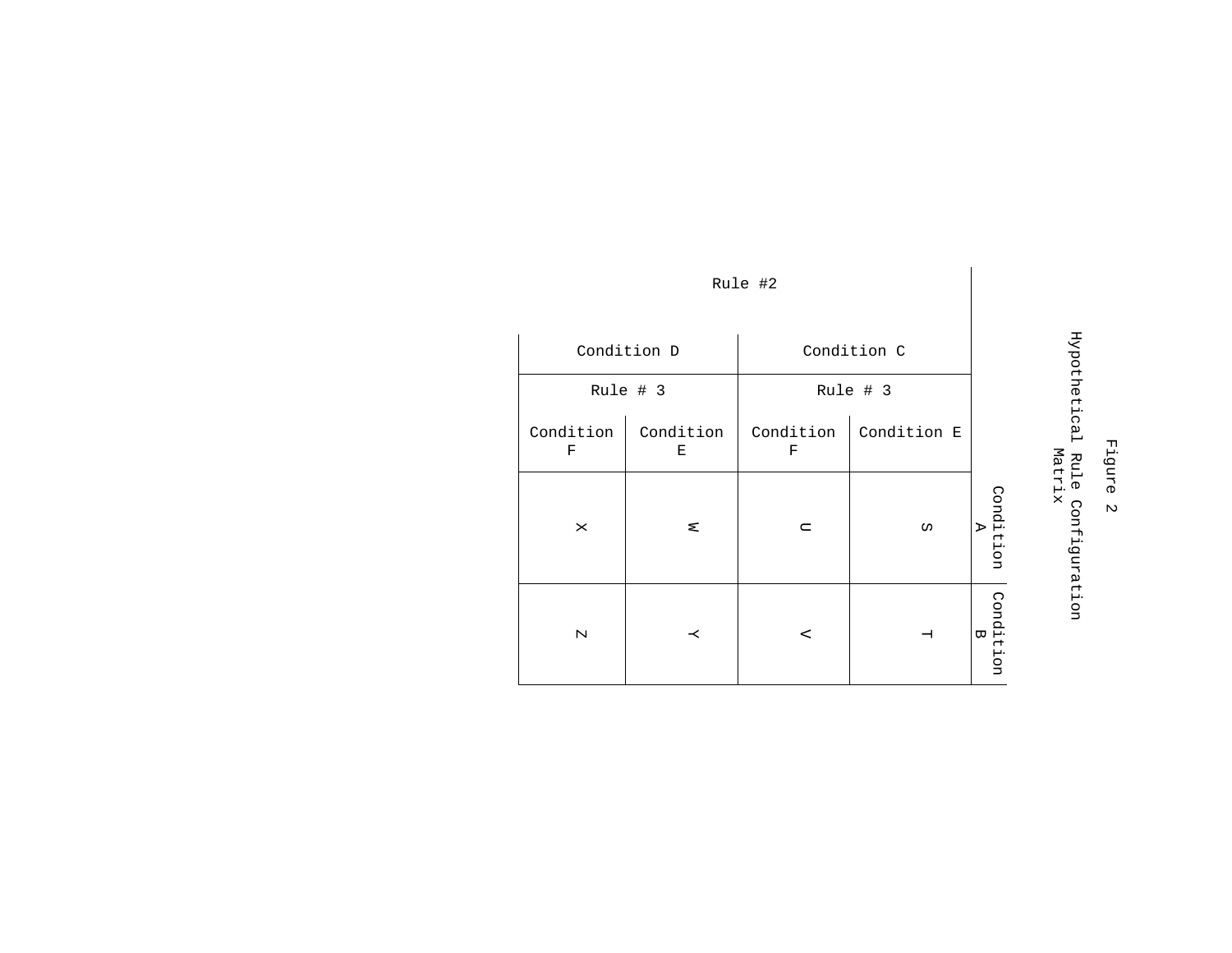| Condition D    |                | Condition C    |              |                     |
|----------------|----------------|----------------|--------------|---------------------|
| Rule # 3       |                | Rule # 3       |              |                     |
| Condition<br>F | Condition<br>Е | Condition<br>F | Condition E  |                     |
| ×              | ⊠              | $\Box$         | Ω            | Condition<br>A      |
| $\mathbf{N}$   | $\mathsf{K}$   | $\prec$        | $\mathbf{H}$ | Condition<br>B<br>D |

# Figure 2 Hypothetical Rule Configuration Hypothetical Rule Configuration<br>Matrix

# Rule #2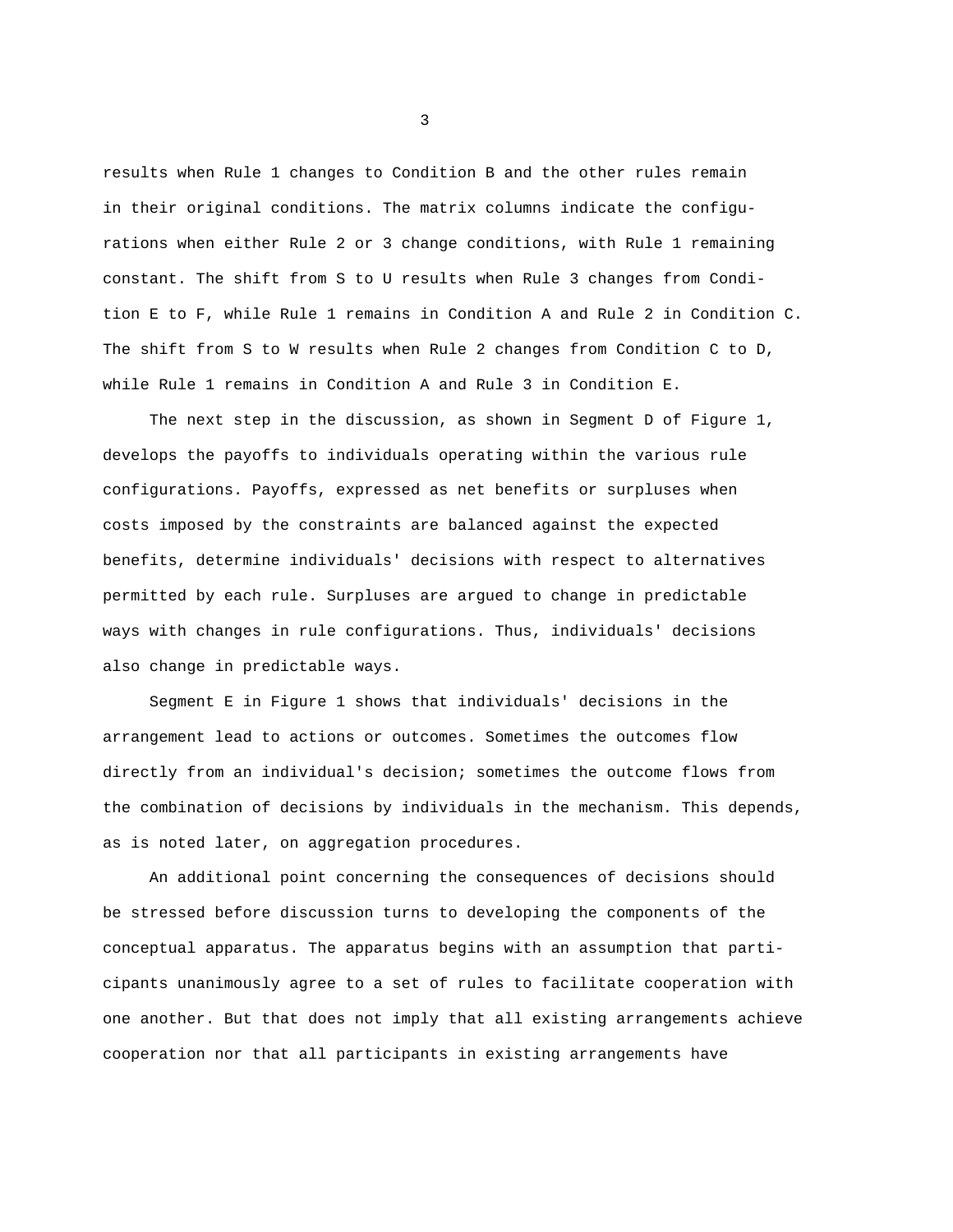results when Rule 1 changes to Condition B and the other rules remain in their original conditions. The matrix columns indicate the configurations when either Rule 2 or 3 change conditions, with Rule 1 remaining constant. The shift from S to U results when Rule 3 changes from Condition E to F, while Rule 1 remains in Condition A and Rule 2 in Condition C. The shift from S to W results when Rule 2 changes from Condition C to D, while Rule 1 remains in Condition A and Rule 3 in Condition E.

The next step in the discussion, as shown in Segment D of Figure 1, develops the payoffs to individuals operating within the various rule configurations. Payoffs, expressed as net benefits or surpluses when costs imposed by the constraints are balanced against the expected benefits, determine individuals' decisions with respect to alternatives permitted by each rule. Surpluses are argued to change in predictable ways with changes in rule configurations. Thus, individuals' decisions also change in predictable ways.

Segment E in Figure 1 shows that individuals' decisions in the arrangement lead to actions or outcomes. Sometimes the outcomes flow directly from an individual's decision; sometimes the outcome flows from the combination of decisions by individuals in the mechanism. This depends, as is noted later, on aggregation procedures.

An additional point concerning the consequences of decisions should be stressed before discussion turns to developing the components of the conceptual apparatus. The apparatus begins with an assumption that participants unanimously agree to a set of rules to facilitate cooperation with one another. But that does not imply that all existing arrangements achieve cooperation nor that all participants in existing arrangements have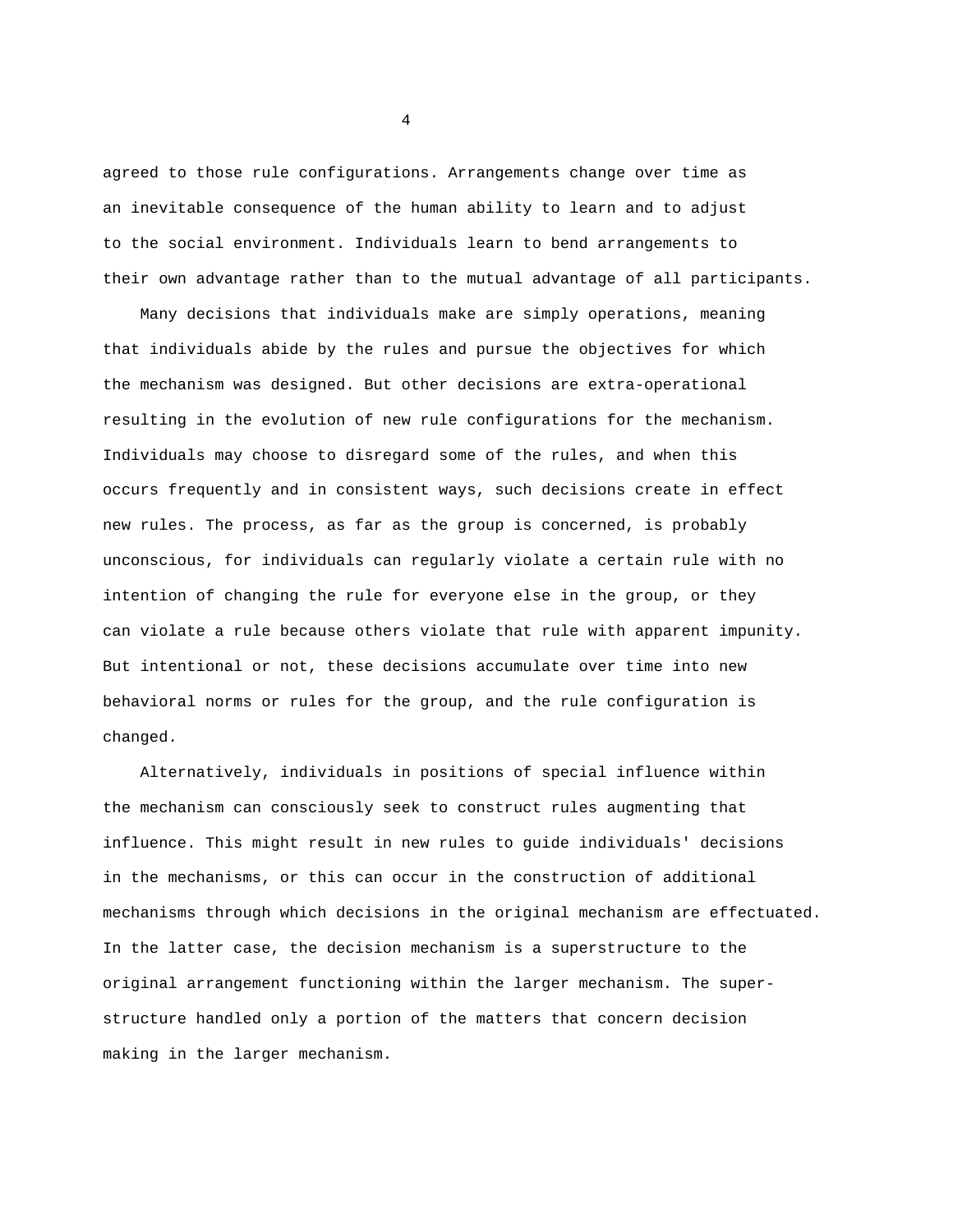agreed to those rule configurations. Arrangements change over time as an inevitable consequence of the human ability to learn and to adjust to the social environment. Individuals learn to bend arrangements to their own advantage rather than to the mutual advantage of all participants.

Many decisions that individuals make are simply operations, meaning that individuals abide by the rules and pursue the objectives for which the mechanism was designed. But other decisions are extra-operational resulting in the evolution of new rule configurations for the mechanism. Individuals may choose to disregard some of the rules, and when this occurs frequently and in consistent ways, such decisions create in effect new rules. The process, as far as the group is concerned, is probably unconscious, for individuals can regularly violate a certain rule with no intention of changing the rule for everyone else in the group, or they can violate a rule because others violate that rule with apparent impunity. But intentional or not, these decisions accumulate over time into new behavioral norms or rules for the group, and the rule configuration is changed.

Alternatively, individuals in positions of special influence within the mechanism can consciously seek to construct rules augmenting that influence. This might result in new rules to guide individuals' decisions in the mechanisms, or this can occur in the construction of additional mechanisms through which decisions in the original mechanism are effectuated. In the latter case, the decision mechanism is a superstructure to the original arrangement functioning within the larger mechanism. The superstructure handled only a portion of the matters that concern decision making in the larger mechanism.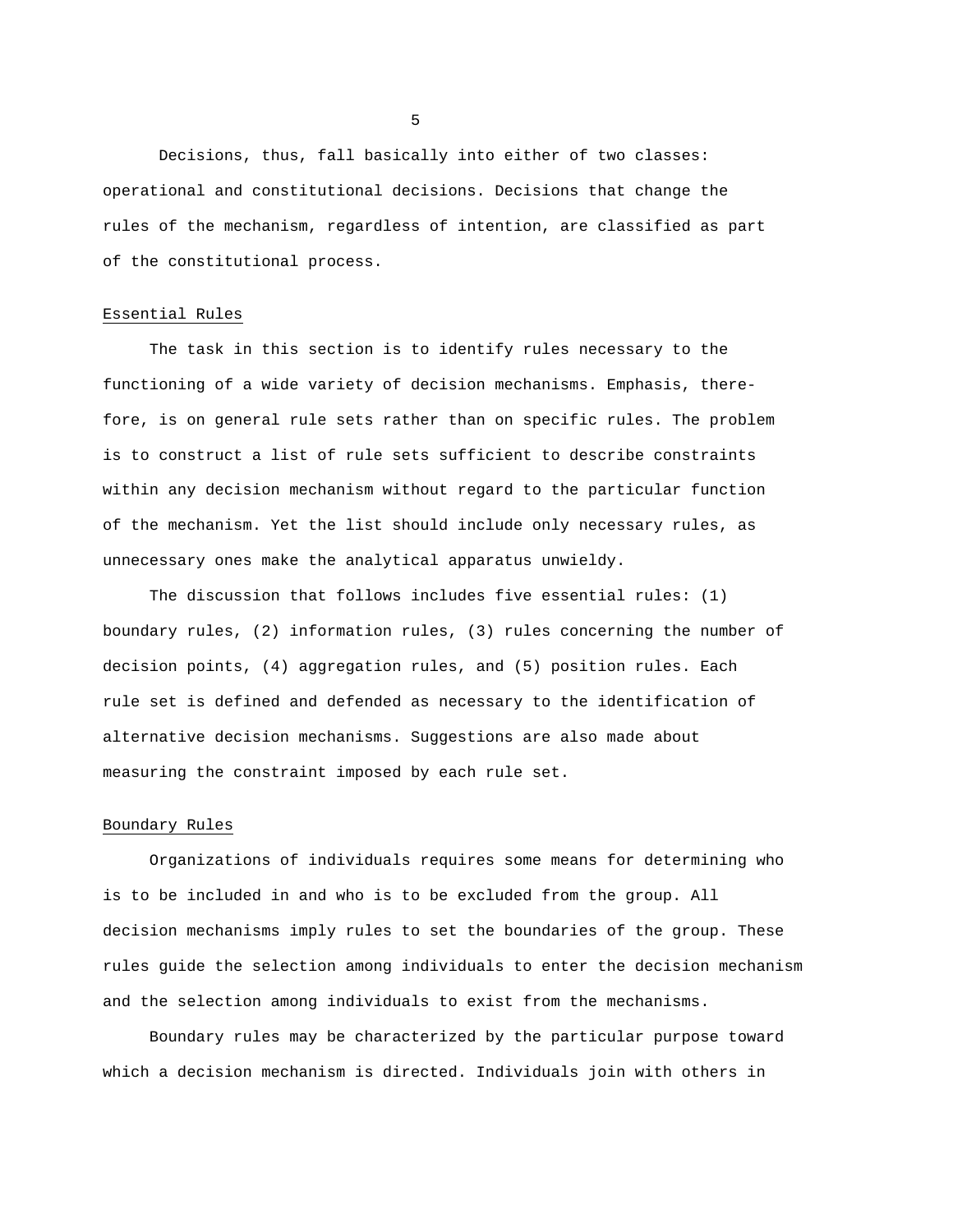Decisions, thus, fall basically into either of two classes: operational and constitutional decisions. Decisions that change the rules of the mechanism, regardless of intention, are classified as part of the constitutional process.

#### Essential Rules

The task in this section is to identify rules necessary to the functioning of a wide variety of decision mechanisms. Emphasis, therefore, is on general rule sets rather than on specific rules. The problem is to construct a list of rule sets sufficient to describe constraints within any decision mechanism without regard to the particular function of the mechanism. Yet the list should include only necessary rules, as unnecessary ones make the analytical apparatus unwieldy.

The discussion that follows includes five essential rules: (1) boundary rules, (2) information rules, (3) rules concerning the number of decision points, (4) aggregation rules, and (5) position rules. Each rule set is defined and defended as necessary to the identification of alternative decision mechanisms. Suggestions are also made about measuring the constraint imposed by each rule set.

## Boundary Rules

Organizations of individuals requires some means for determining who is to be included in and who is to be excluded from the group. All decision mechanisms imply rules to set the boundaries of the group. These rules guide the selection among individuals to enter the decision mechanism and the selection among individuals to exist from the mechanisms.

Boundary rules may be characterized by the particular purpose toward which a decision mechanism is directed. Individuals join with others in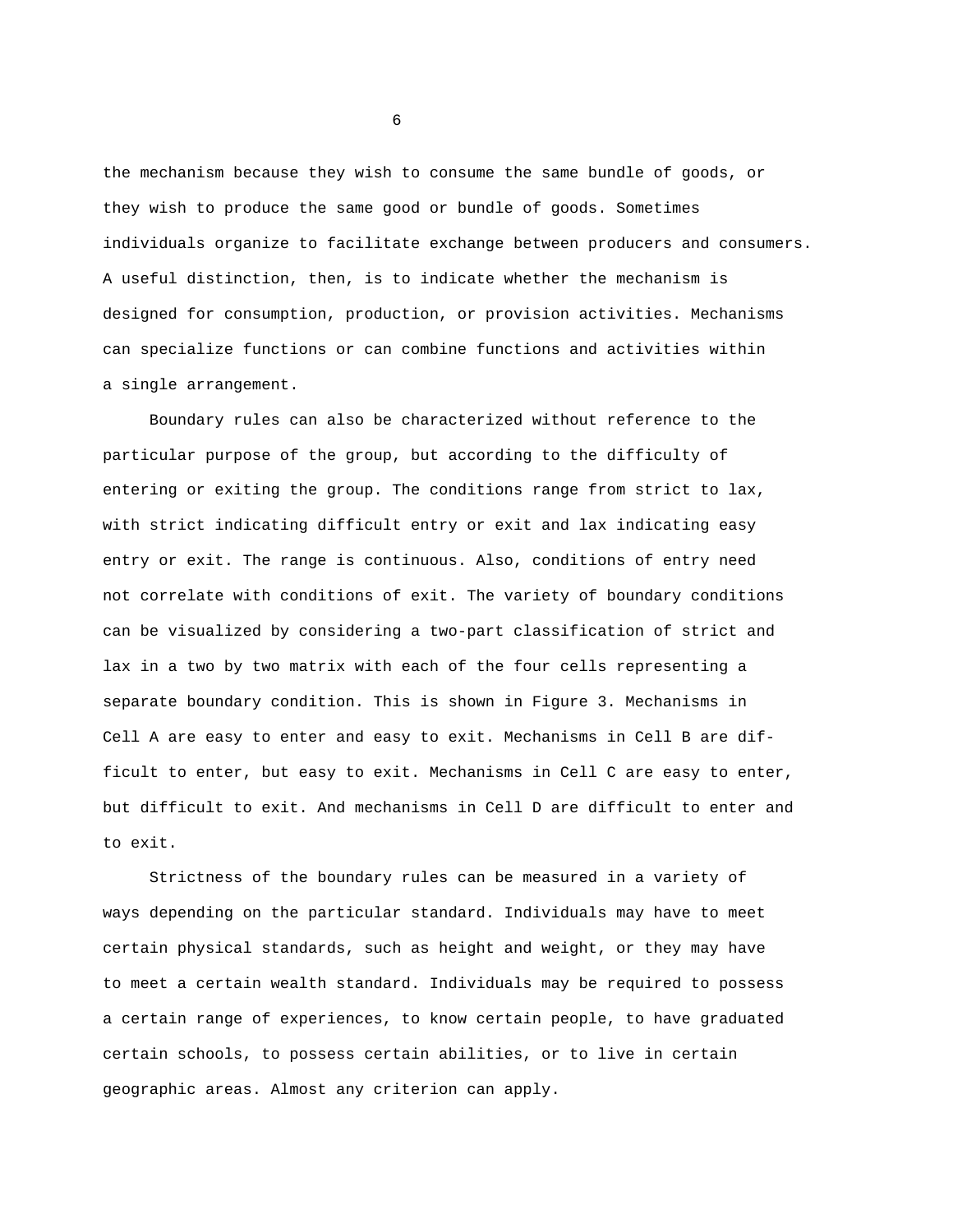the mechanism because they wish to consume the same bundle of goods, or they wish to produce the same good or bundle of goods. Sometimes individuals organize to facilitate exchange between producers and consumers. A useful distinction, then, is to indicate whether the mechanism is designed for consumption, production, or provision activities. Mechanisms can specialize functions or can combine functions and activities within a single arrangement.

Boundary rules can also be characterized without reference to the particular purpose of the group, but according to the difficulty of entering or exiting the group. The conditions range from strict to lax, with strict indicating difficult entry or exit and lax indicating easy entry or exit. The range is continuous. Also, conditions of entry need not correlate with conditions of exit. The variety of boundary conditions can be visualized by considering a two-part classification of strict and lax in a two by two matrix with each of the four cells representing a separate boundary condition. This is shown in Figure 3. Mechanisms in Cell A are easy to enter and easy to exit. Mechanisms in Cell B are difficult to enter, but easy to exit. Mechanisms in Cell C are easy to enter, but difficult to exit. And mechanisms in Cell D are difficult to enter and to exit.

Strictness of the boundary rules can be measured in a variety of ways depending on the particular standard. Individuals may have to meet certain physical standards, such as height and weight, or they may have to meet a certain wealth standard. Individuals may be required to possess a certain range of experiences, to know certain people, to have graduated certain schools, to possess certain abilities, or to live in certain geographic areas. Almost any criterion can apply.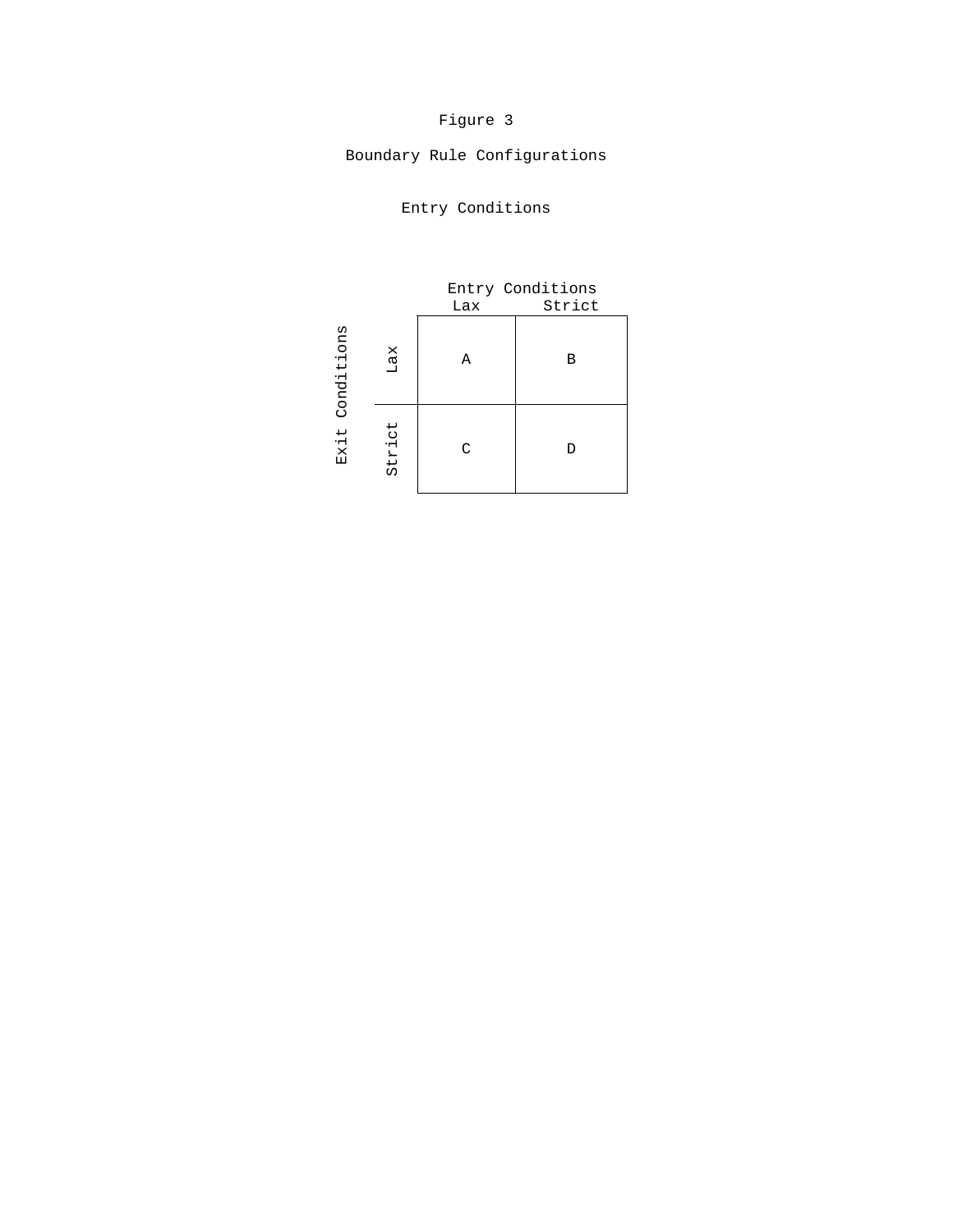# Figure 3

Boundary Rule Configurations

|            |        | Entry Conditions |        |  |
|------------|--------|------------------|--------|--|
|            |        | Lax              | Strict |  |
| Conditions | Lax    | Α                | в      |  |
| Exit       | Strict | C                | D      |  |

Entry Conditions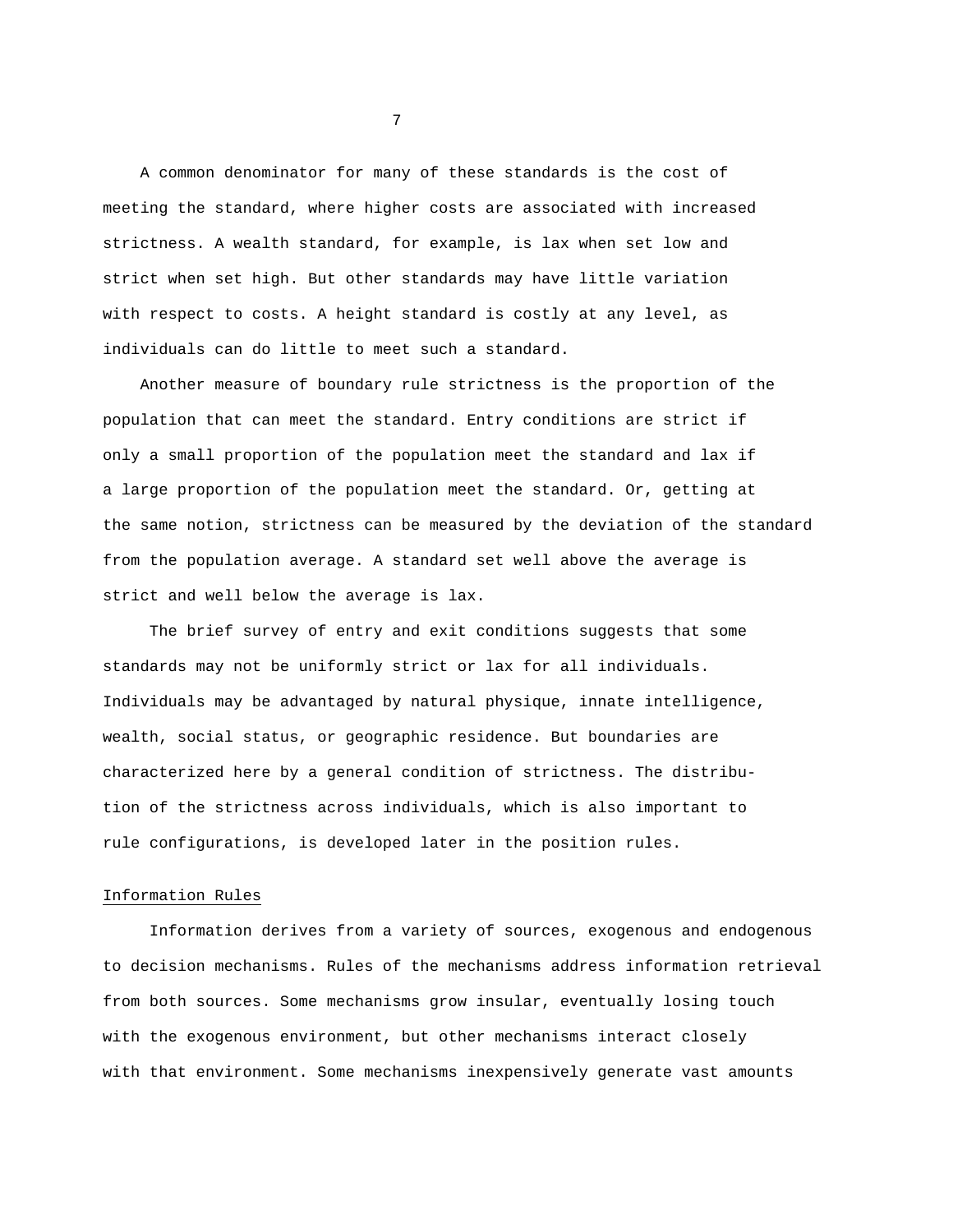A common denominator for many of these standards is the cost of meeting the standard, where higher costs are associated with increased strictness. A wealth standard, for example, is lax when set low and strict when set high. But other standards may have little variation with respect to costs. A height standard is costly at any level, as individuals can do little to meet such a standard.

Another measure of boundary rule strictness is the proportion of the population that can meet the standard. Entry conditions are strict if only a small proportion of the population meet the standard and lax if a large proportion of the population meet the standard. Or, getting at the same notion, strictness can be measured by the deviation of the standard from the population average. A standard set well above the average is strict and well below the average is lax.

The brief survey of entry and exit conditions suggests that some standards may not be uniformly strict or lax for all individuals. Individuals may be advantaged by natural physique, innate intelligence, wealth, social status, or geographic residence. But boundaries are characterized here by a general condition of strictness. The distribution of the strictness across individuals, which is also important to rule configurations, is developed later in the position rules.

# Information Rules

Information derives from a variety of sources, exogenous and endogenous to decision mechanisms. Rules of the mechanisms address information retrieval from both sources. Some mechanisms grow insular, eventually losing touch with the exogenous environment, but other mechanisms interact closely with that environment. Some mechanisms inexpensively generate vast amounts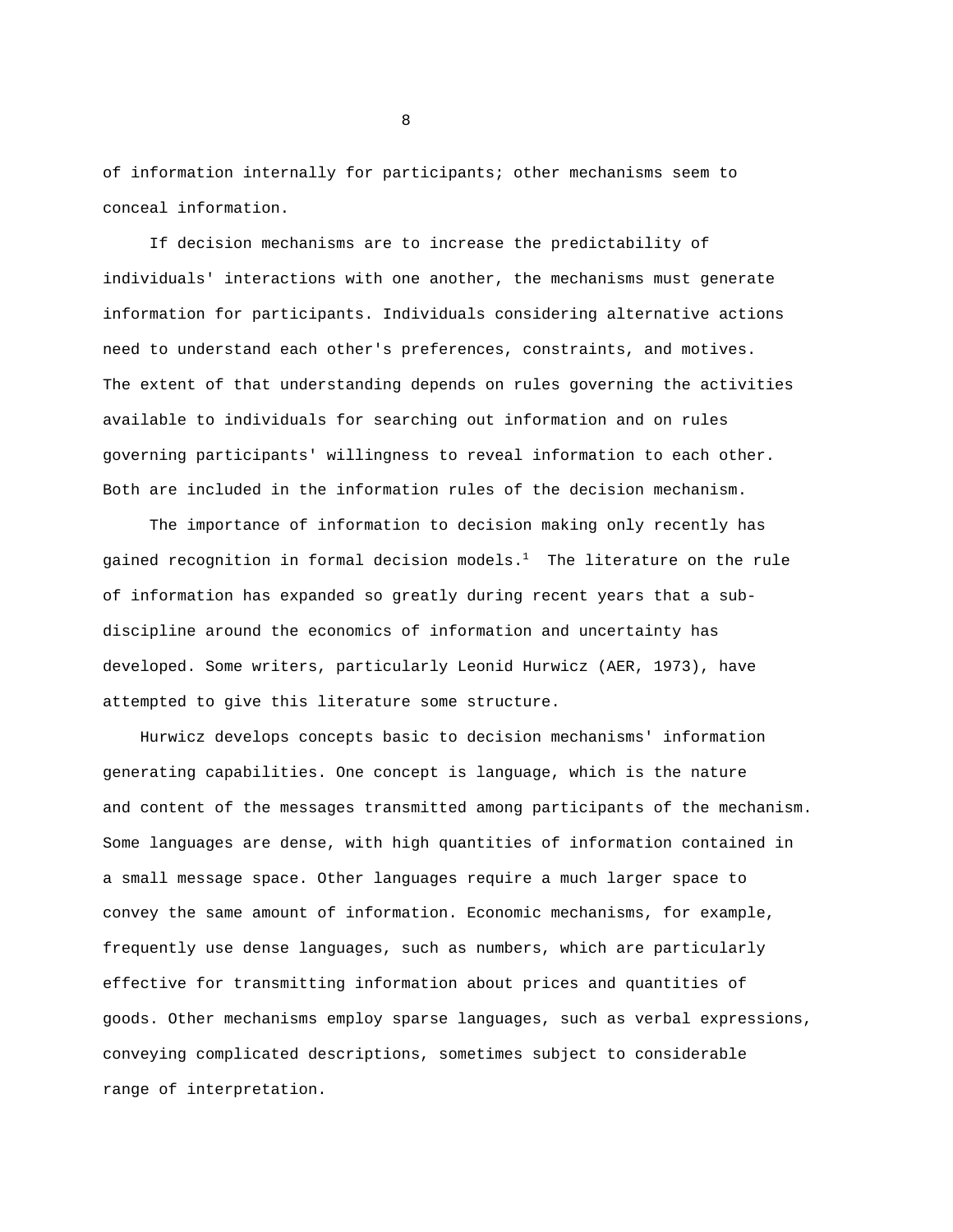of information internally for participants; other mechanisms seem to conceal information.

If decision mechanisms are to increase the predictability of individuals' interactions with one another, the mechanisms must generate information for participants. Individuals considering alternative actions need to understand each other's preferences, constraints, and motives. The extent of that understanding depends on rules governing the activities available to individuals for searching out information and on rules governing participants' willingness to reveal information to each other. Both are included in the information rules of the decision mechanism.

The importance of information to decision making only recently has gained recognition in formal decision models. $<sup>1</sup>$  The literature on the rule</sup> of information has expanded so greatly during recent years that a subdiscipline around the economics of information and uncertainty has developed. Some writers, particularly Leonid Hurwicz (AER, 1973), have attempted to give this literature some structure.

Hurwicz develops concepts basic to decision mechanisms' information generating capabilities. One concept is language, which is the nature and content of the messages transmitted among participants of the mechanism. Some languages are dense, with high quantities of information contained in a small message space. Other languages require a much larger space to convey the same amount of information. Economic mechanisms, for example, frequently use dense languages, such as numbers, which are particularly effective for transmitting information about prices and quantities of goods. Other mechanisms employ sparse languages, such as verbal expressions, conveying complicated descriptions, sometimes subject to considerable range of interpretation.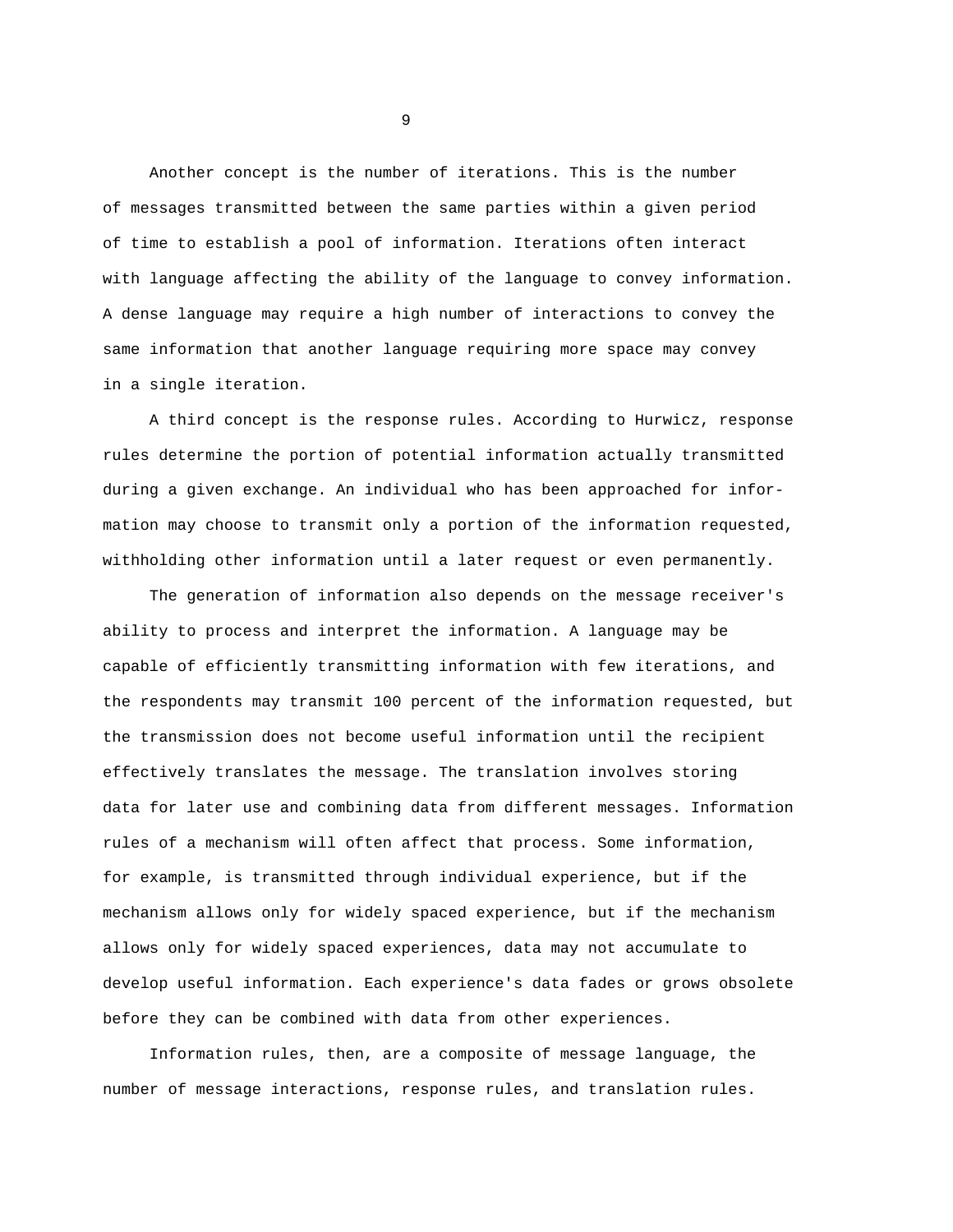Another concept is the number of iterations. This is the number of messages transmitted between the same parties within a given period of time to establish a pool of information. Iterations often interact with language affecting the ability of the language to convey information. A dense language may require a high number of interactions to convey the same information that another language requiring more space may convey in a single iteration.

A third concept is the response rules. According to Hurwicz, response rules determine the portion of potential information actually transmitted during a given exchange. An individual who has been approached for information may choose to transmit only a portion of the information requested, withholding other information until a later request or even permanently.

The generation of information also depends on the message receiver's ability to process and interpret the information. A language may be capable of efficiently transmitting information with few iterations, and the respondents may transmit 100 percent of the information requested, but the transmission does not become useful information until the recipient effectively translates the message. The translation involves storing data for later use and combining data from different messages. Information rules of a mechanism will often affect that process. Some information, for example, is transmitted through individual experience, but if the mechanism allows only for widely spaced experience, but if the mechanism allows only for widely spaced experiences, data may not accumulate to develop useful information. Each experience's data fades or grows obsolete before they can be combined with data from other experiences.

Information rules, then, are a composite of message language, the number of message interactions, response rules, and translation rules.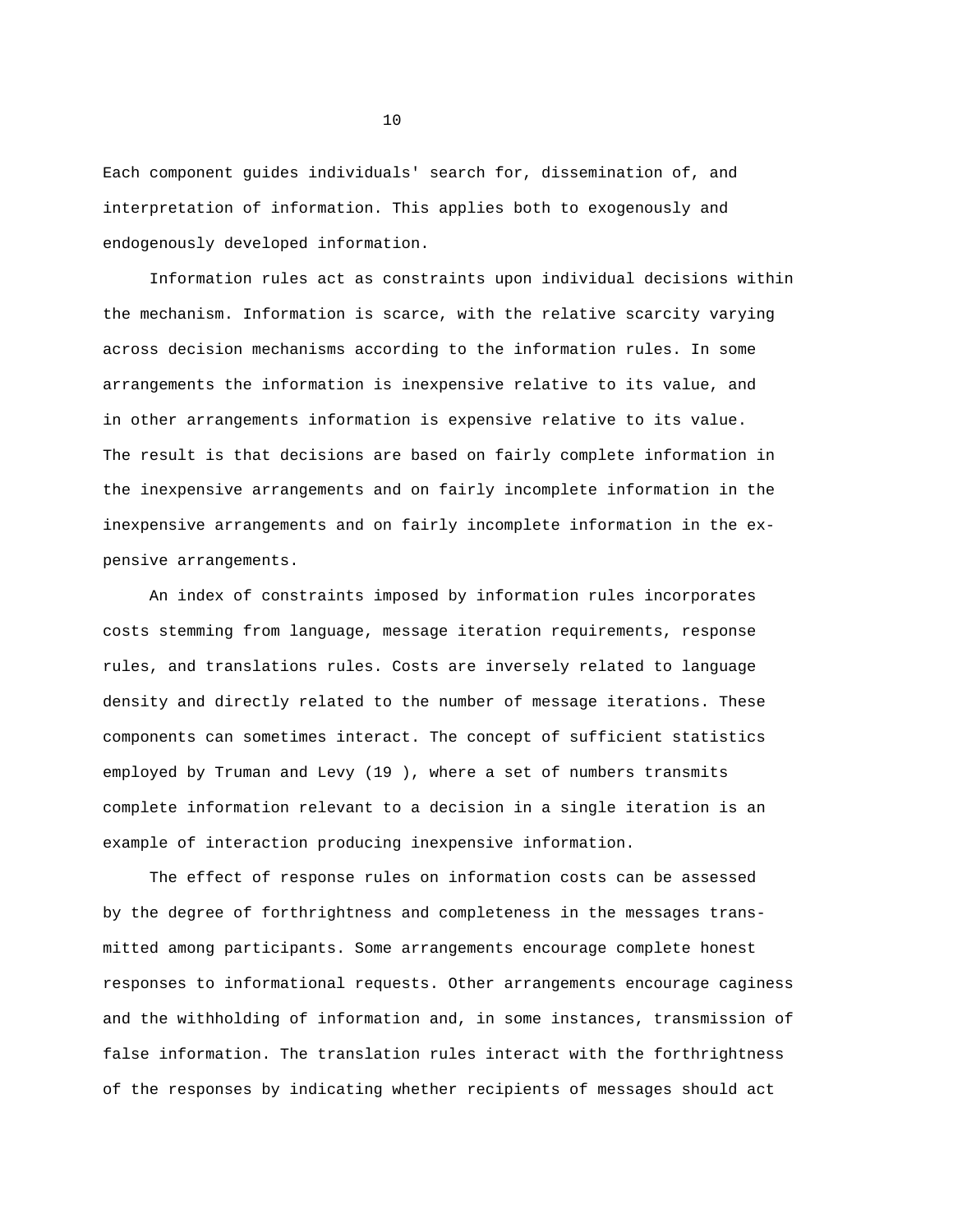Each component guides individuals' search for, dissemination of, and interpretation of information. This applies both to exogenously and endogenously developed information.

Information rules act as constraints upon individual decisions within the mechanism. Information is scarce, with the relative scarcity varying across decision mechanisms according to the information rules. In some arrangements the information is inexpensive relative to its value, and in other arrangements information is expensive relative to its value. The result is that decisions are based on fairly complete information in the inexpensive arrangements and on fairly incomplete information in the inexpensive arrangements and on fairly incomplete information in the expensive arrangements.

An index of constraints imposed by information rules incorporates costs stemming from language, message iteration requirements, response rules, and translations rules. Costs are inversely related to language density and directly related to the number of message iterations. These components can sometimes interact. The concept of sufficient statistics employed by Truman and Levy (19 ), where a set of numbers transmits complete information relevant to a decision in a single iteration is an example of interaction producing inexpensive information.

The effect of response rules on information costs can be assessed by the degree of forthrightness and completeness in the messages transmitted among participants. Some arrangements encourage complete honest responses to informational requests. Other arrangements encourage caginess and the withholding of information and, in some instances, transmission of false information. The translation rules interact with the forthrightness of the responses by indicating whether recipients of messages should act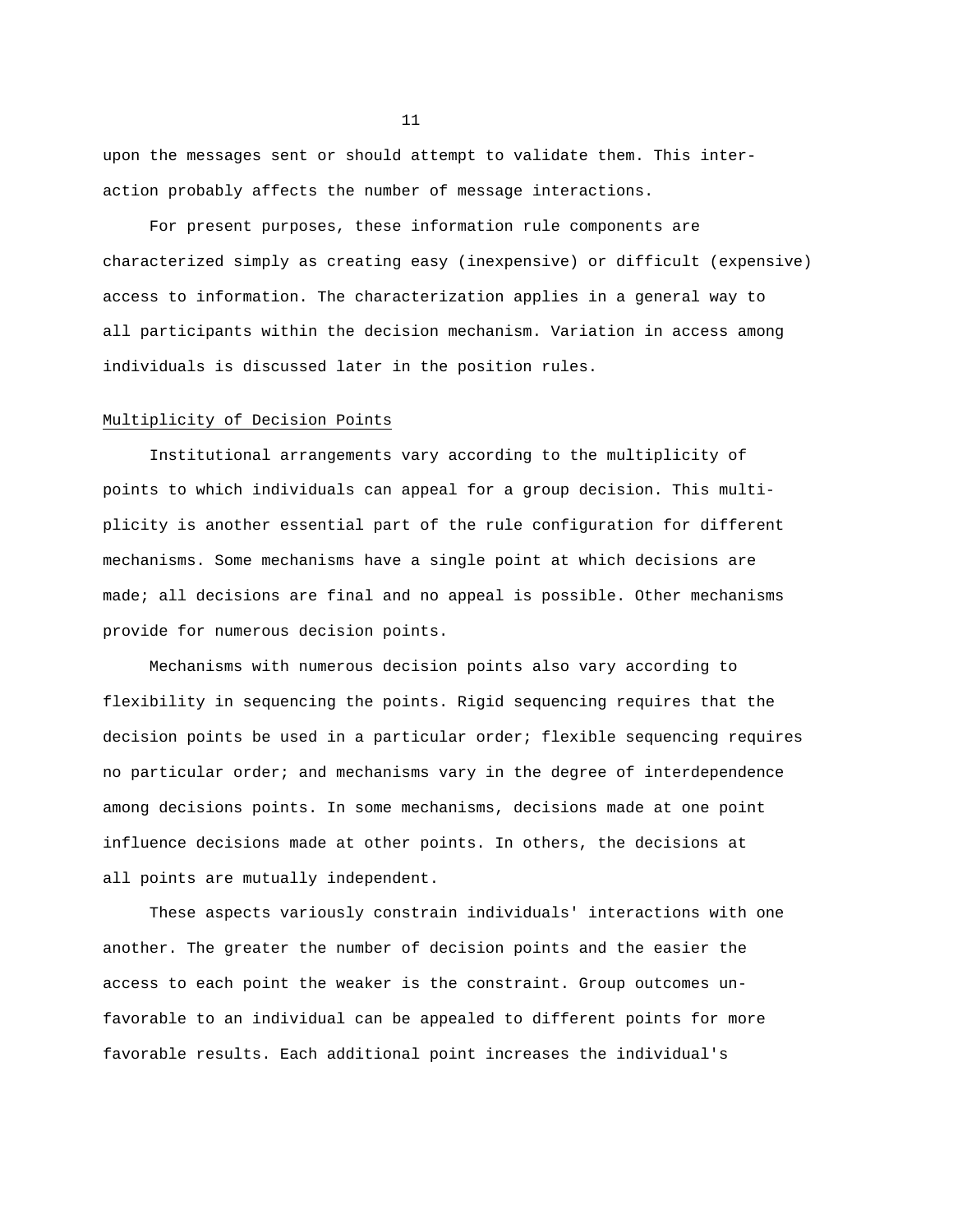upon the messages sent or should attempt to validate them. This interaction probably affects the number of message interactions.

For present purposes, these information rule components are characterized simply as creating easy (inexpensive) or difficult (expensive) access to information. The characterization applies in a general way to all participants within the decision mechanism. Variation in access among individuals is discussed later in the position rules.

#### Multiplicity of Decision Points

Institutional arrangements vary according to the multiplicity of points to which individuals can appeal for a group decision. This multiplicity is another essential part of the rule configuration for different mechanisms. Some mechanisms have a single point at which decisions are made; all decisions are final and no appeal is possible. Other mechanisms provide for numerous decision points.

Mechanisms with numerous decision points also vary according to flexibility in sequencing the points. Rigid sequencing requires that the decision points be used in a particular order; flexible sequencing requires no particular order; and mechanisms vary in the degree of interdependence among decisions points. In some mechanisms, decisions made at one point influence decisions made at other points. In others, the decisions at all points are mutually independent.

These aspects variously constrain individuals' interactions with one another. The greater the number of decision points and the easier the access to each point the weaker is the constraint. Group outcomes unfavorable to an individual can be appealed to different points for more favorable results. Each additional point increases the individual's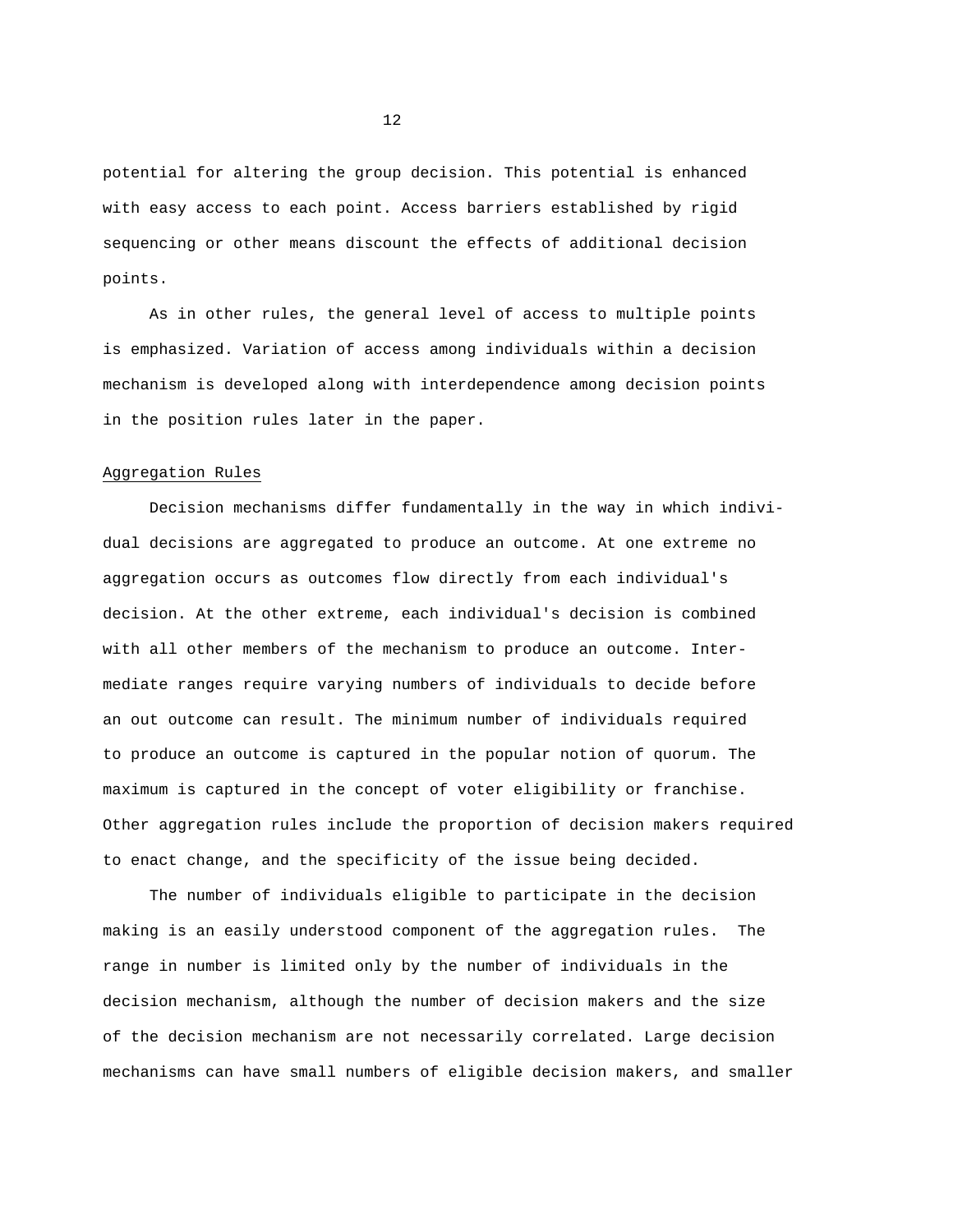potential for altering the group decision. This potential is enhanced with easy access to each point. Access barriers established by rigid sequencing or other means discount the effects of additional decision points.

As in other rules, the general level of access to multiple points is emphasized. Variation of access among individuals within a decision mechanism is developed along with interdependence among decision points in the position rules later in the paper.

## Aggregation Rules

Decision mechanisms differ fundamentally in the way in which individual decisions are aggregated to produce an outcome. At one extreme no aggregation occurs as outcomes flow directly from each individual's decision. At the other extreme, each individual's decision is combined with all other members of the mechanism to produce an outcome. Intermediate ranges require varying numbers of individuals to decide before an out outcome can result. The minimum number of individuals required to produce an outcome is captured in the popular notion of quorum. The maximum is captured in the concept of voter eligibility or franchise. Other aggregation rules include the proportion of decision makers required to enact change, and the specificity of the issue being decided.

The number of individuals eligible to participate in the decision making is an easily understood component of the aggregation rules. The range in number is limited only by the number of individuals in the decision mechanism, although the number of decision makers and the size of the decision mechanism are not necessarily correlated. Large decision mechanisms can have small numbers of eligible decision makers, and smaller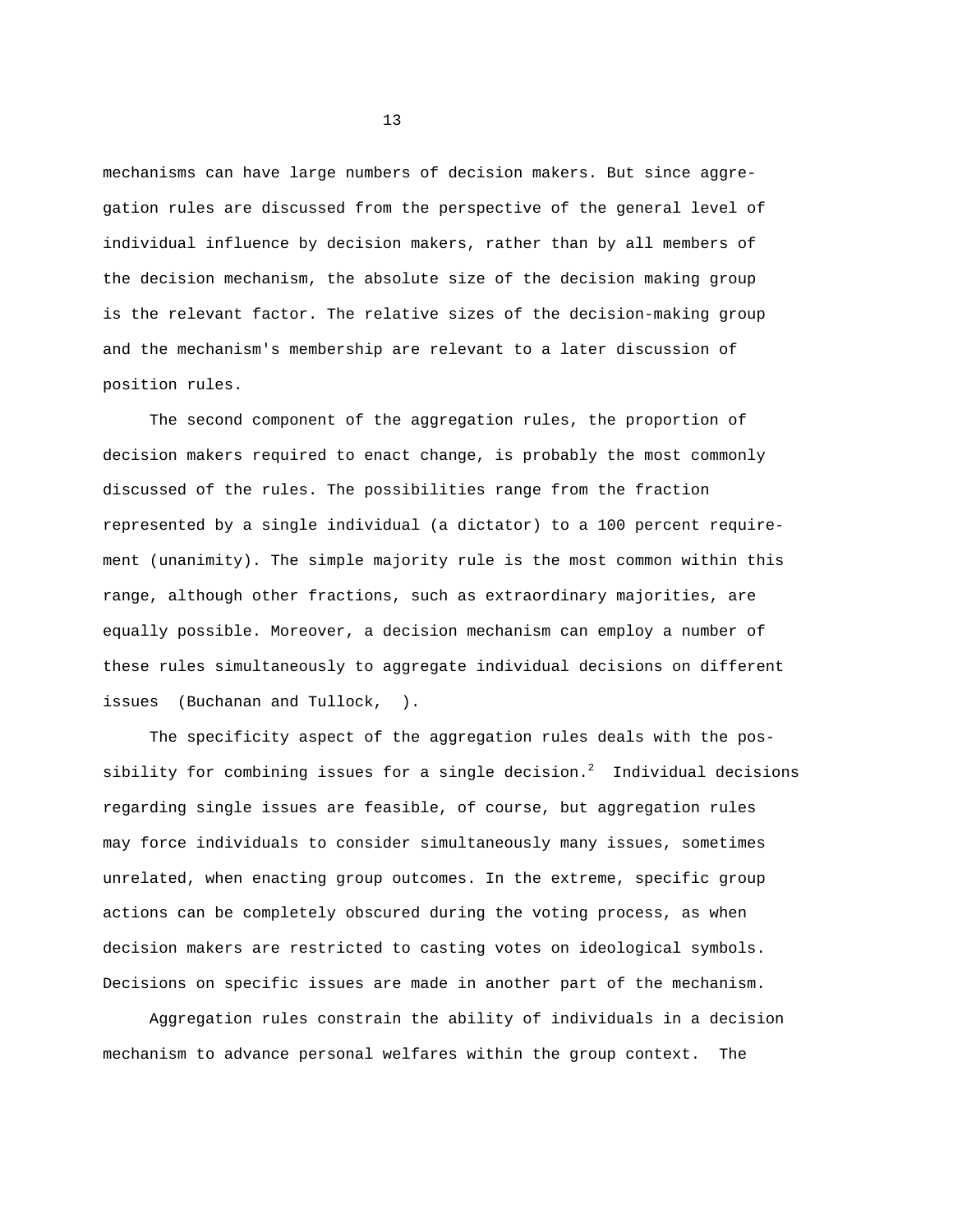mechanisms can have large numbers of decision makers. But since aggregation rules are discussed from the perspective of the general level of individual influence by decision makers, rather than by all members of the decision mechanism, the absolute size of the decision making group is the relevant factor. The relative sizes of the decision-making group and the mechanism's membership are relevant to a later discussion of position rules.

The second component of the aggregation rules, the proportion of decision makers required to enact change, is probably the most commonly discussed of the rules. The possibilities range from the fraction represented by a single individual (a dictator) to a 100 percent requirement (unanimity). The simple majority rule is the most common within this range, although other fractions, such as extraordinary majorities, are equally possible. Moreover, a decision mechanism can employ a number of these rules simultaneously to aggregate individual decisions on different issues (Buchanan and Tullock, ).

The specificity aspect of the aggregation rules deals with the possibility for combining issues for a single decision.<sup>2</sup> Individual decisions regarding single issues are feasible, of course, but aggregation rules may force individuals to consider simultaneously many issues, sometimes unrelated, when enacting group outcomes. In the extreme, specific group actions can be completely obscured during the voting process, as when decision makers are restricted to casting votes on ideological symbols. Decisions on specific issues are made in another part of the mechanism.

Aggregation rules constrain the ability of individuals in a decision mechanism to advance personal welfares within the group context. The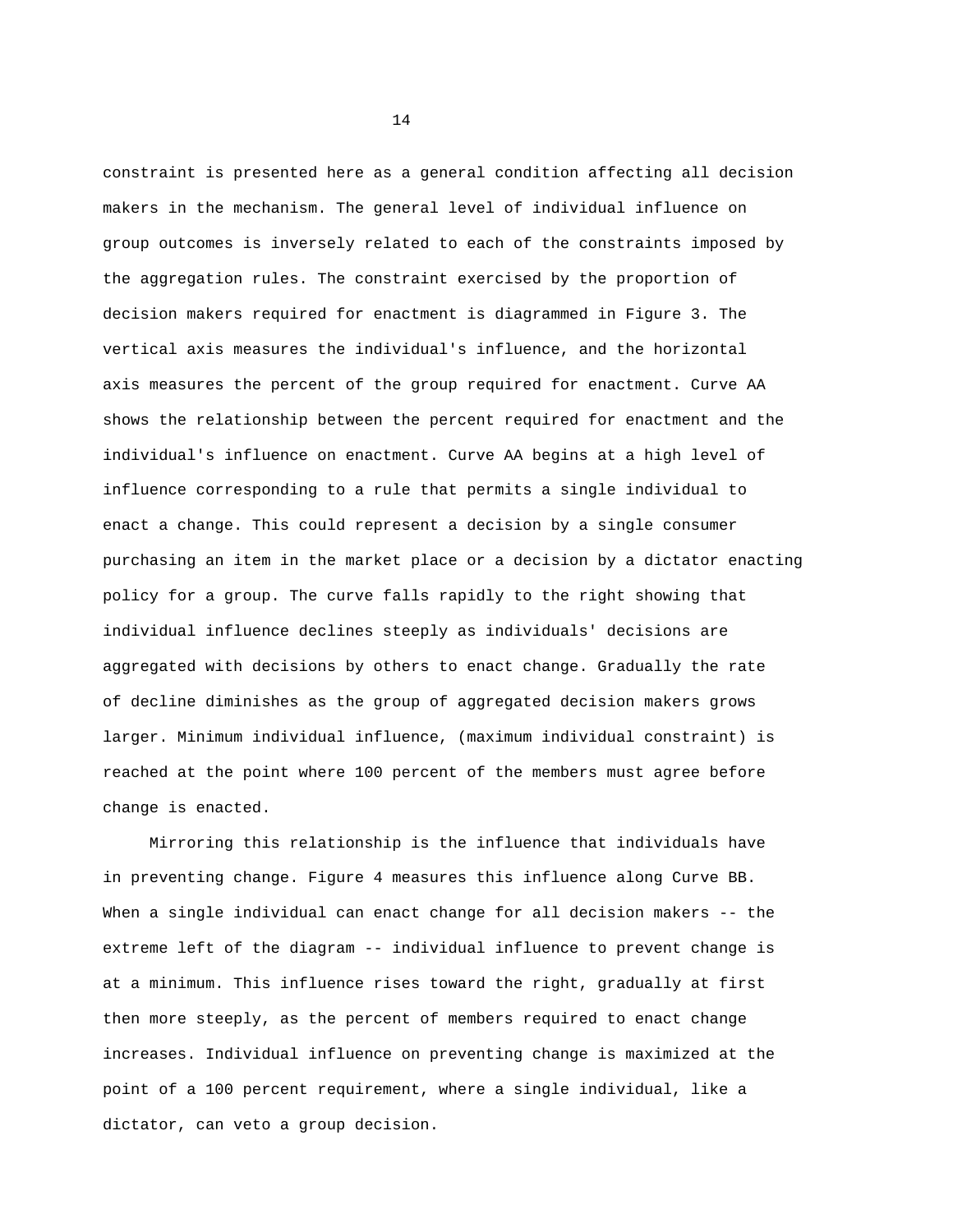constraint is presented here as a general condition affecting all decision makers in the mechanism. The general level of individual influence on group outcomes is inversely related to each of the constraints imposed by the aggregation rules. The constraint exercised by the proportion of decision makers required for enactment is diagrammed in Figure 3. The vertical axis measures the individual's influence, and the horizontal axis measures the percent of the group required for enactment. Curve AA shows the relationship between the percent required for enactment and the individual's influence on enactment. Curve AA begins at a high level of influence corresponding to a rule that permits a single individual to enact a change. This could represent a decision by a single consumer purchasing an item in the market place or a decision by a dictator enacting policy for a group. The curve falls rapidly to the right showing that individual influence declines steeply as individuals' decisions are aggregated with decisions by others to enact change. Gradually the rate of decline diminishes as the group of aggregated decision makers grows larger. Minimum individual influence, (maximum individual constraint) is reached at the point where 100 percent of the members must agree before change is enacted.

Mirroring this relationship is the influence that individuals have in preventing change. Figure 4 measures this influence along Curve BB. When a single individual can enact change for all decision makers -- the extreme left of the diagram -- individual influence to prevent change is at a minimum. This influence rises toward the right, gradually at first then more steeply, as the percent of members required to enact change increases. Individual influence on preventing change is maximized at the point of a 100 percent requirement, where a single individual, like a dictator, can veto a group decision.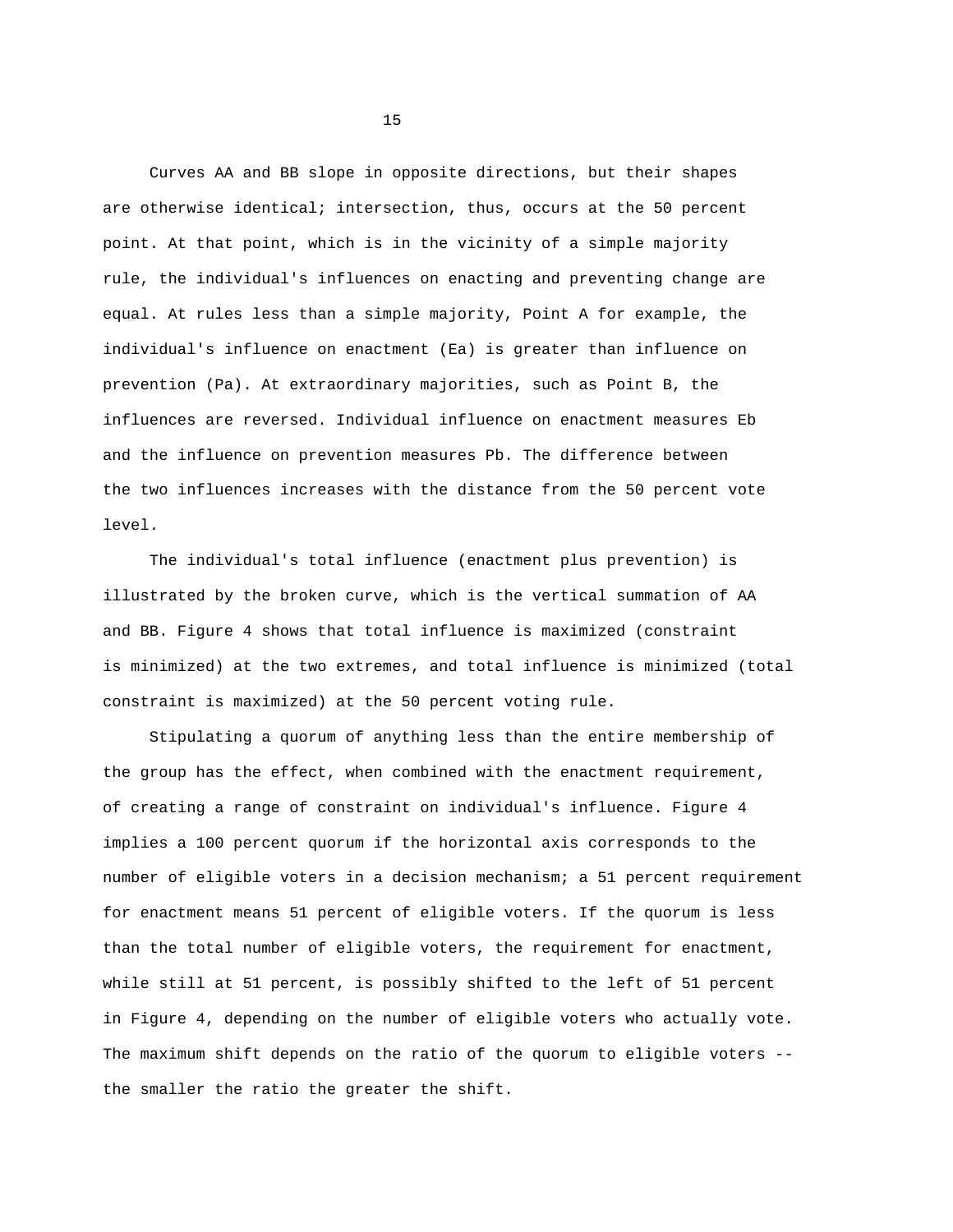Curves AA and BB slope in opposite directions, but their shapes are otherwise identical; intersection, thus, occurs at the 50 percent point. At that point, which is in the vicinity of a simple majority rule, the individual's influences on enacting and preventing change are equal. At rules less than a simple majority, Point A for example, the individual's influence on enactment (Ea) is greater than influence on prevention (Pa). At extraordinary majorities, such as Point B, the influences are reversed. Individual influence on enactment measures Eb and the influence on prevention measures Pb. The difference between the two influences increases with the distance from the 50 percent vote level.

The individual's total influence (enactment plus prevention) is illustrated by the broken curve, which is the vertical summation of AA and BB. Figure 4 shows that total influence is maximized (constraint is minimized) at the two extremes, and total influence is minimized (total constraint is maximized) at the 50 percent voting rule.

Stipulating a quorum of anything less than the entire membership of the group has the effect, when combined with the enactment requirement, of creating a range of constraint on individual's influence. Figure 4 implies a 100 percent quorum if the horizontal axis corresponds to the number of eligible voters in a decision mechanism; a 51 percent requirement for enactment means 51 percent of eligible voters. If the quorum is less than the total number of eligible voters, the requirement for enactment, while still at 51 percent, is possibly shifted to the left of 51 percent in Figure 4, depending on the number of eligible voters who actually vote. The maximum shift depends on the ratio of the quorum to eligible voters - the smaller the ratio the greater the shift.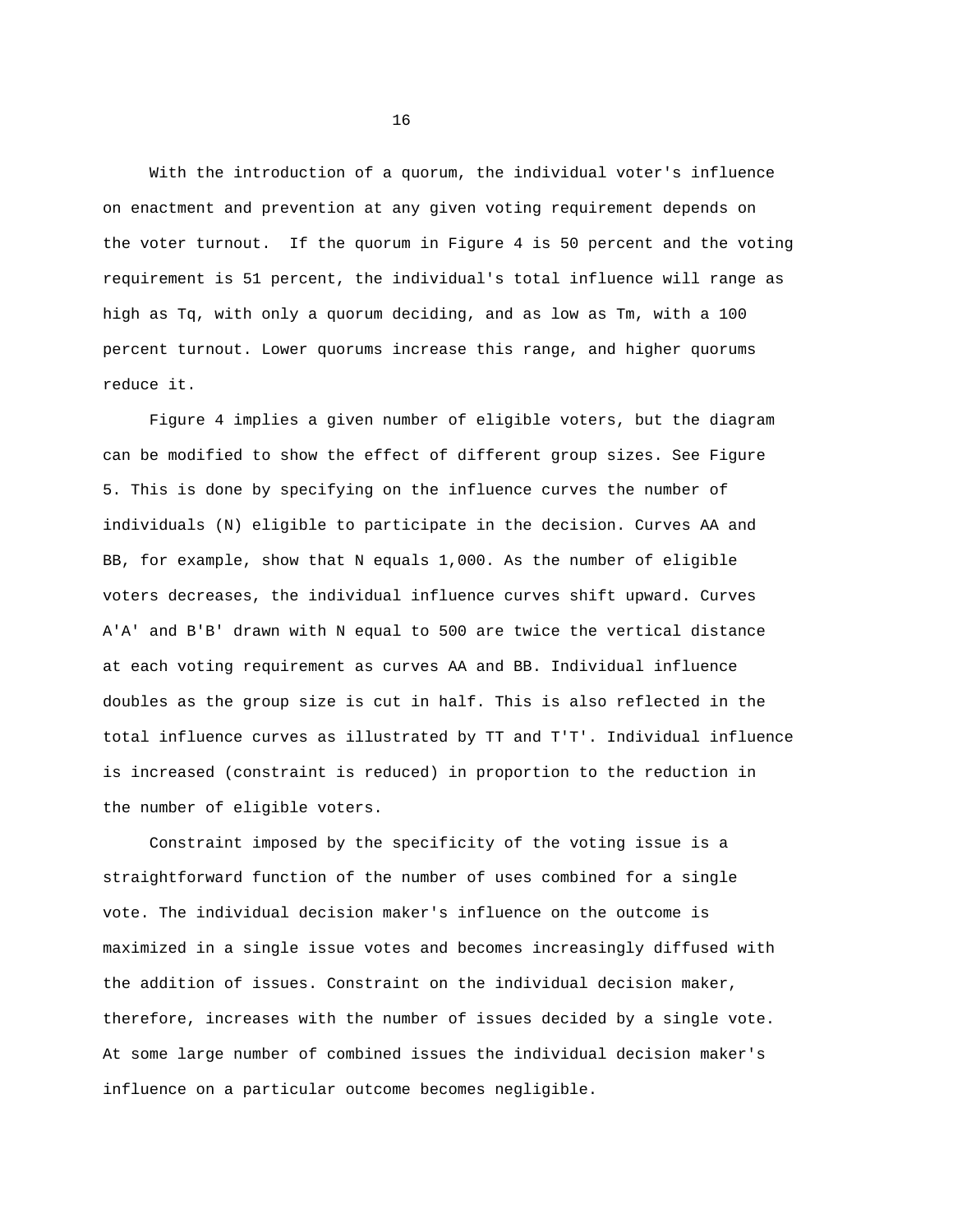With the introduction of a quorum, the individual voter's influence on enactment and prevention at any given voting requirement depends on the voter turnout. If the quorum in Figure 4 is 50 percent and the voting requirement is 51 percent, the individual's total influence will range as high as Tq, with only a quorum deciding, and as low as Tm, with a 100 percent turnout. Lower quorums increase this range, and higher quorums reduce it.

Figure 4 implies a given number of eligible voters, but the diagram can be modified to show the effect of different group sizes. See Figure 5. This is done by specifying on the influence curves the number of individuals (N) eligible to participate in the decision. Curves AA and BB, for example, show that N equals 1,000. As the number of eligible voters decreases, the individual influence curves shift upward. Curves A'A' and B'B' drawn with N equal to 500 are twice the vertical distance at each voting requirement as curves AA and BB. Individual influence doubles as the group size is cut in half. This is also reflected in the total influence curves as illustrated by TT and T'T'. Individual influence is increased (constraint is reduced) in proportion to the reduction in the number of eligible voters.

Constraint imposed by the specificity of the voting issue is a straightforward function of the number of uses combined for a single vote. The individual decision maker's influence on the outcome is maximized in a single issue votes and becomes increasingly diffused with the addition of issues. Constraint on the individual decision maker, therefore, increases with the number of issues decided by a single vote. At some large number of combined issues the individual decision maker's influence on a particular outcome becomes negligible.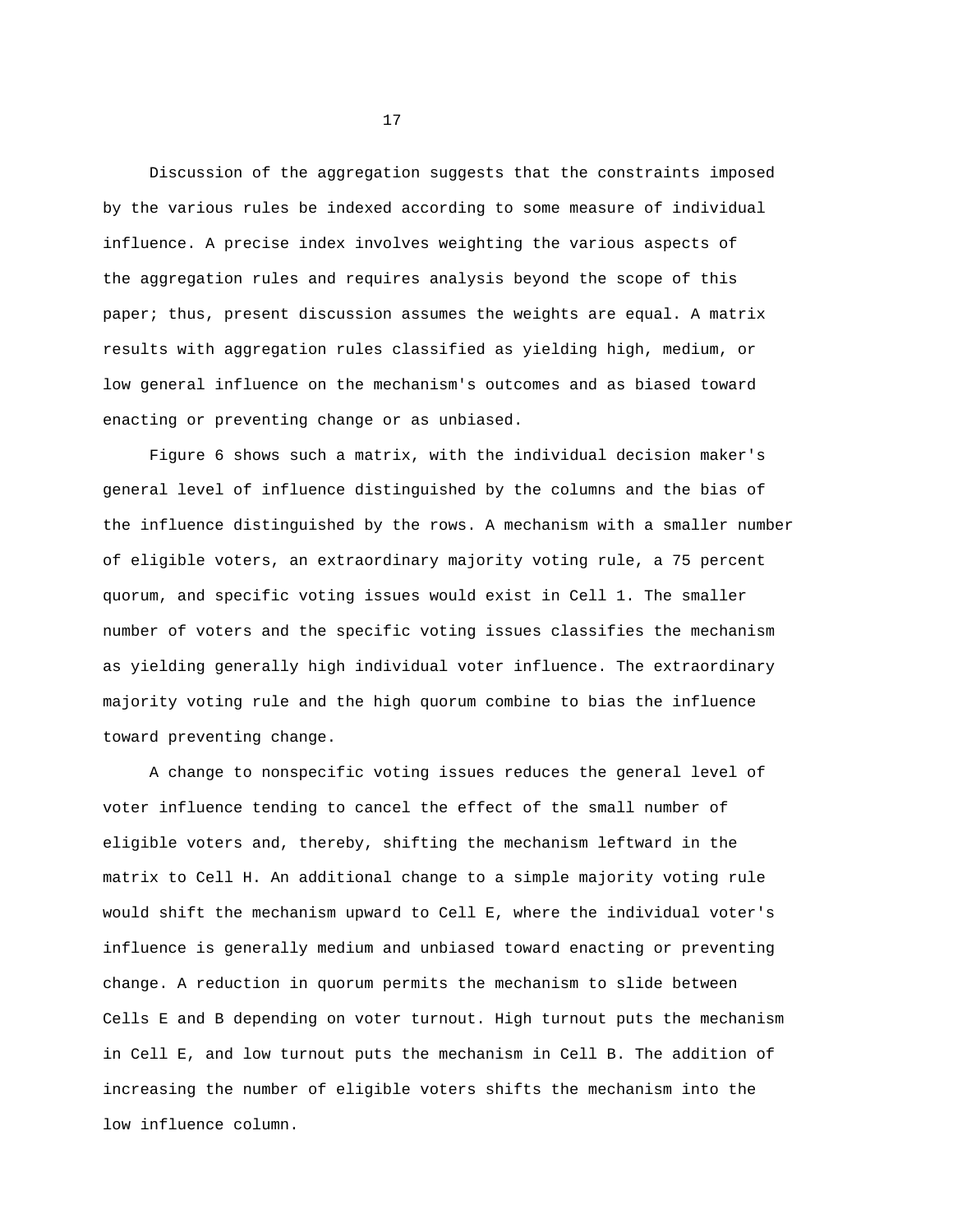Discussion of the aggregation suggests that the constraints imposed by the various rules be indexed according to some measure of individual influence. A precise index involves weighting the various aspects of the aggregation rules and requires analysis beyond the scope of this paper; thus, present discussion assumes the weights are equal. A matrix results with aggregation rules classified as yielding high, medium, or low general influence on the mechanism's outcomes and as biased toward enacting or preventing change or as unbiased.

Figure 6 shows such a matrix, with the individual decision maker's general level of influence distinguished by the columns and the bias of the influence distinguished by the rows. A mechanism with a smaller number of eligible voters, an extraordinary majority voting rule, a 75 percent quorum, and specific voting issues would exist in Cell 1. The smaller number of voters and the specific voting issues classifies the mechanism as yielding generally high individual voter influence. The extraordinary majority voting rule and the high quorum combine to bias the influence toward preventing change.

A change to nonspecific voting issues reduces the general level of voter influence tending to cancel the effect of the small number of eligible voters and, thereby, shifting the mechanism leftward in the matrix to Cell H. An additional change to a simple majority voting rule would shift the mechanism upward to Cell E, where the individual voter's influence is generally medium and unbiased toward enacting or preventing change. A reduction in quorum permits the mechanism to slide between Cells E and B depending on voter turnout. High turnout puts the mechanism in Cell E, and low turnout puts the mechanism in Cell B. The addition of increasing the number of eligible voters shifts the mechanism into the low influence column.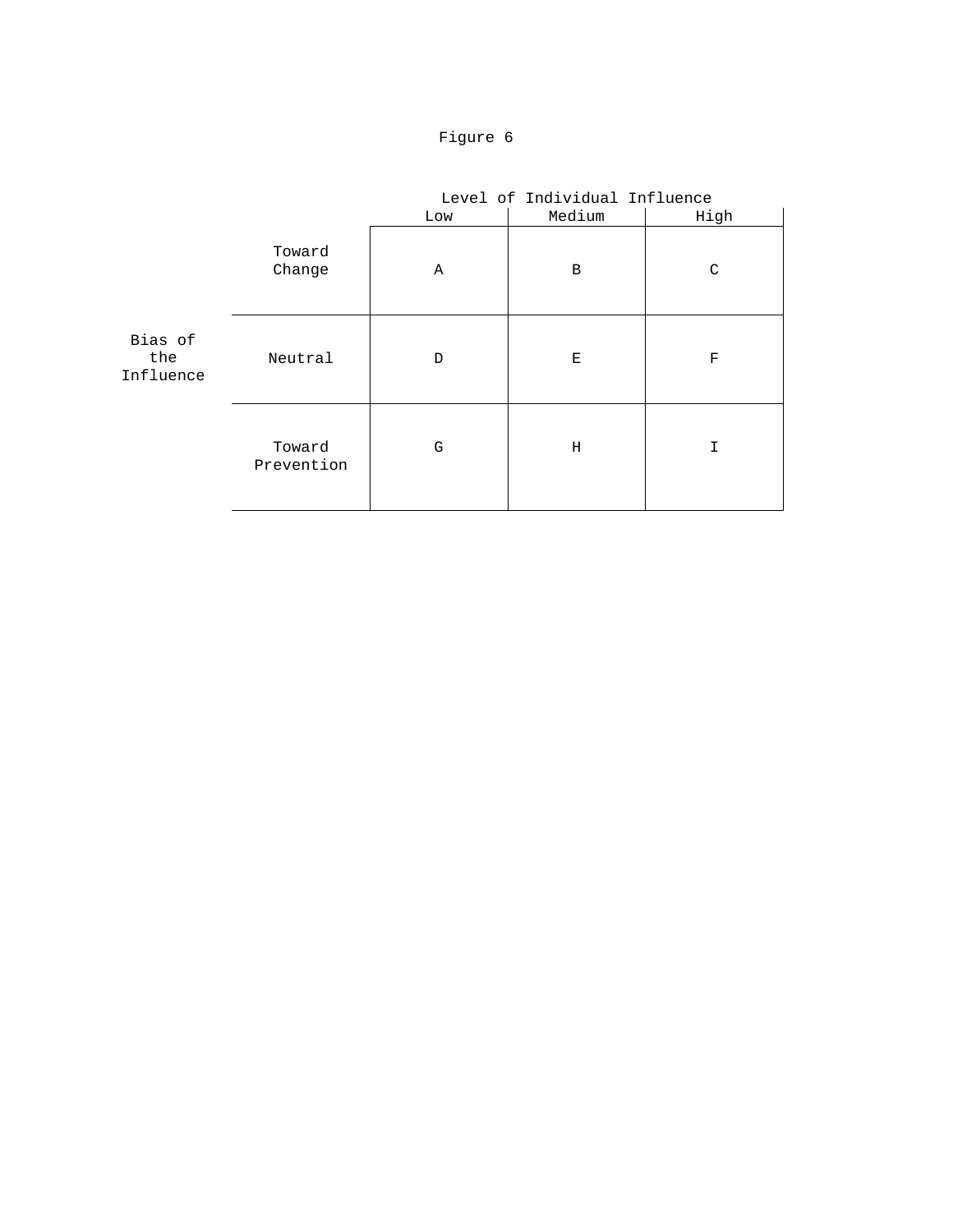

|                             |                      |     | Level of Individual Influence |      |  |
|-----------------------------|----------------------|-----|-------------------------------|------|--|
|                             |                      | Low | Medium                        | High |  |
|                             | Toward<br>Change     | Α   | B                             | C    |  |
| Bias of<br>the<br>Influence | Neutral              | D   | Ε                             | F    |  |
|                             | Toward<br>Prevention | G   | Η                             | I    |  |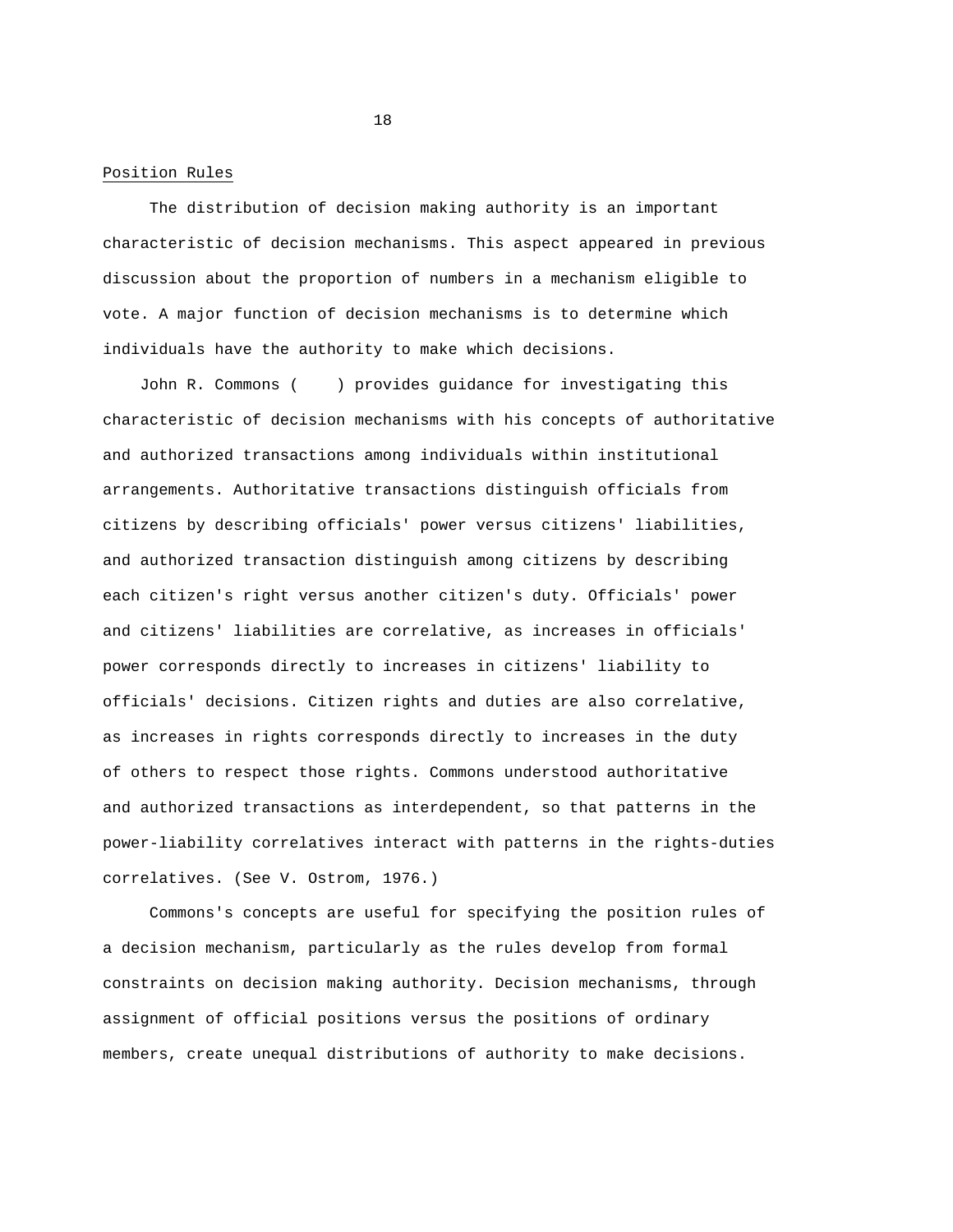Position Rules

The distribution of decision making authority is an important characteristic of decision mechanisms. This aspect appeared in previous discussion about the proportion of numbers in a mechanism eligible to vote. A major function of decision mechanisms is to determine which individuals have the authority to make which decisions.

John R. Commons ( ) provides guidance for investigating this characteristic of decision mechanisms with his concepts of authoritative and authorized transactions among individuals within institutional arrangements. Authoritative transactions distinguish officials from citizens by describing officials' power versus citizens' liabilities, and authorized transaction distinguish among citizens by describing each citizen's right versus another citizen's duty. Officials' power and citizens' liabilities are correlative, as increases in officials' power corresponds directly to increases in citizens' liability to officials' decisions. Citizen rights and duties are also correlative, as increases in rights corresponds directly to increases in the duty of others to respect those rights. Commons understood authoritative and authorized transactions as interdependent, so that patterns in the power-liability correlatives interact with patterns in the rights-duties correlatives. (See V. Ostrom, 1976.)

Commons's concepts are useful for specifying the position rules of a decision mechanism, particularly as the rules develop from formal constraints on decision making authority. Decision mechanisms, through assignment of official positions versus the positions of ordinary members, create unequal distributions of authority to make decisions.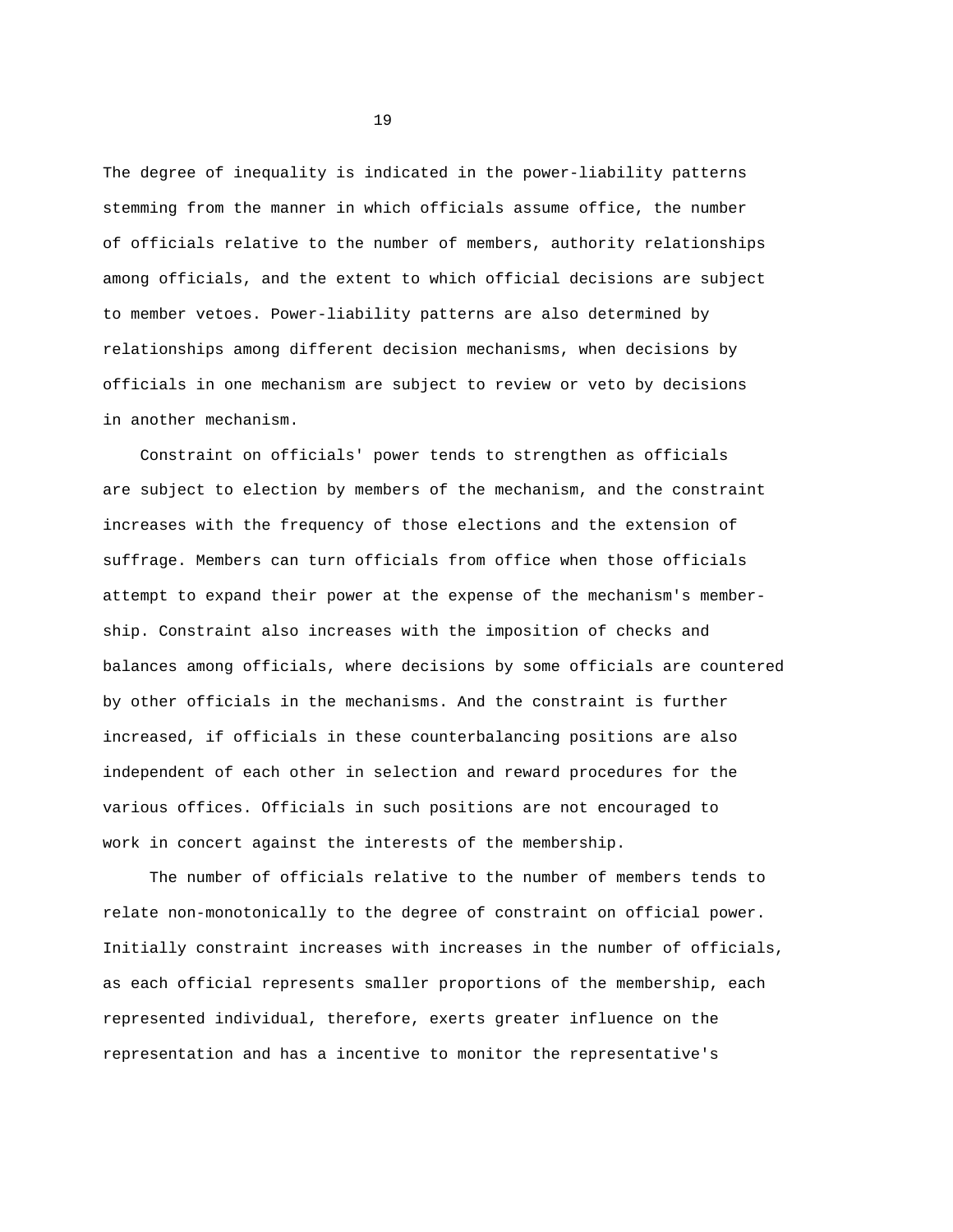The degree of inequality is indicated in the power-liability patterns stemming from the manner in which officials assume office, the number of officials relative to the number of members, authority relationships among officials, and the extent to which official decisions are subject to member vetoes. Power-liability patterns are also determined by relationships among different decision mechanisms, when decisions by officials in one mechanism are subject to review or veto by decisions in another mechanism.

Constraint on officials' power tends to strengthen as officials are subject to election by members of the mechanism, and the constraint increases with the frequency of those elections and the extension of suffrage. Members can turn officials from office when those officials attempt to expand their power at the expense of the mechanism's membership. Constraint also increases with the imposition of checks and balances among officials, where decisions by some officials are countered by other officials in the mechanisms. And the constraint is further increased, if officials in these counterbalancing positions are also independent of each other in selection and reward procedures for the various offices. Officials in such positions are not encouraged to work in concert against the interests of the membership.

The number of officials relative to the number of members tends to relate non-monotonically to the degree of constraint on official power. Initially constraint increases with increases in the number of officials, as each official represents smaller proportions of the membership, each represented individual, therefore, exerts greater influence on the representation and has a incentive to monitor the representative's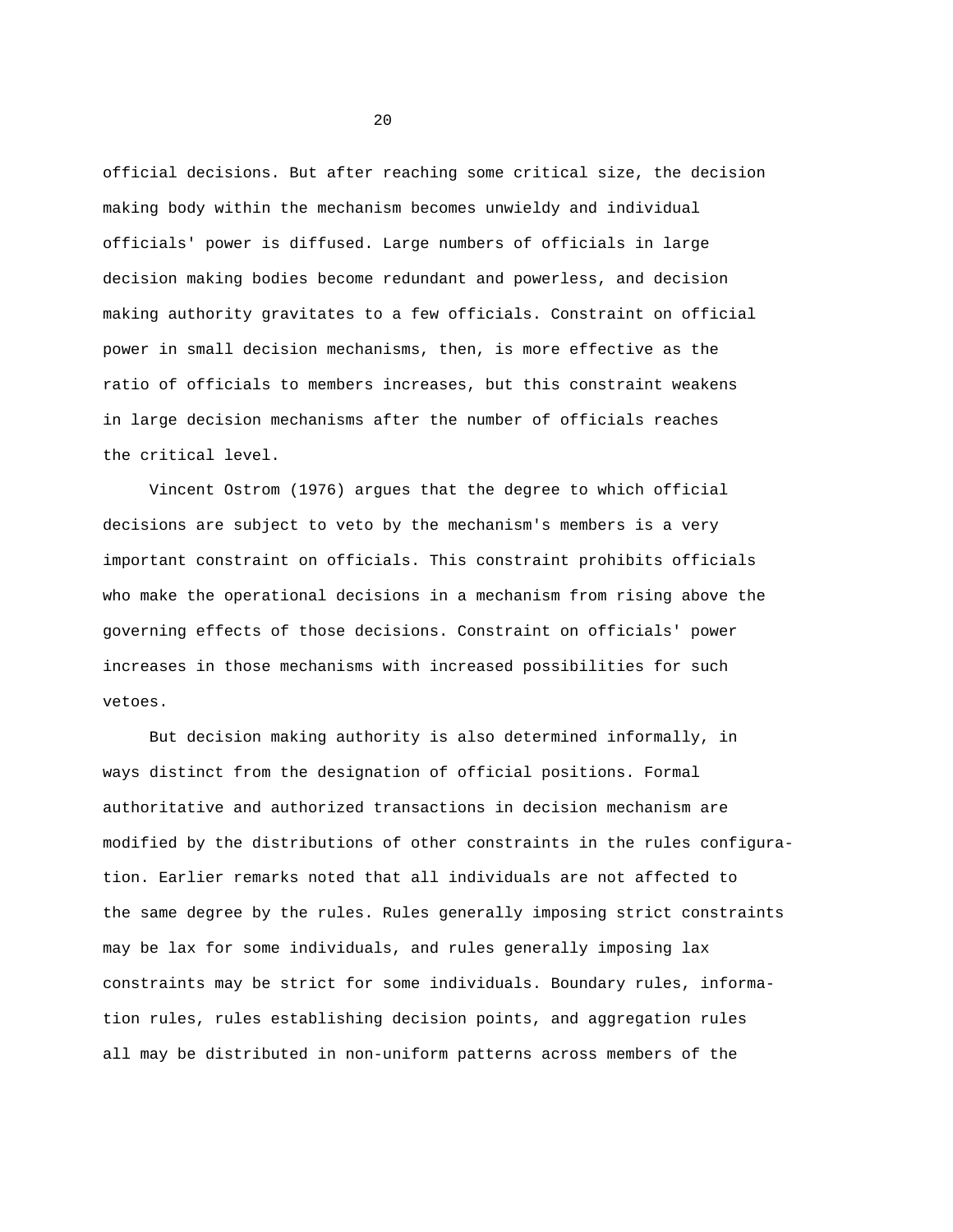official decisions. But after reaching some critical size, the decision making body within the mechanism becomes unwieldy and individual officials' power is diffused. Large numbers of officials in large decision making bodies become redundant and powerless, and decision making authority gravitates to a few officials. Constraint on official power in small decision mechanisms, then, is more effective as the ratio of officials to members increases, but this constraint weakens in large decision mechanisms after the number of officials reaches the critical level.

Vincent Ostrom (1976) argues that the degree to which official decisions are subject to veto by the mechanism's members is a very important constraint on officials. This constraint prohibits officials who make the operational decisions in a mechanism from rising above the governing effects of those decisions. Constraint on officials' power increases in those mechanisms with increased possibilities for such vetoes.

But decision making authority is also determined informally, in ways distinct from the designation of official positions. Formal authoritative and authorized transactions in decision mechanism are modified by the distributions of other constraints in the rules configuration. Earlier remarks noted that all individuals are not affected to the same degree by the rules. Rules generally imposing strict constraints may be lax for some individuals, and rules generally imposing lax constraints may be strict for some individuals. Boundary rules, information rules, rules establishing decision points, and aggregation rules all may be distributed in non-uniform patterns across members of the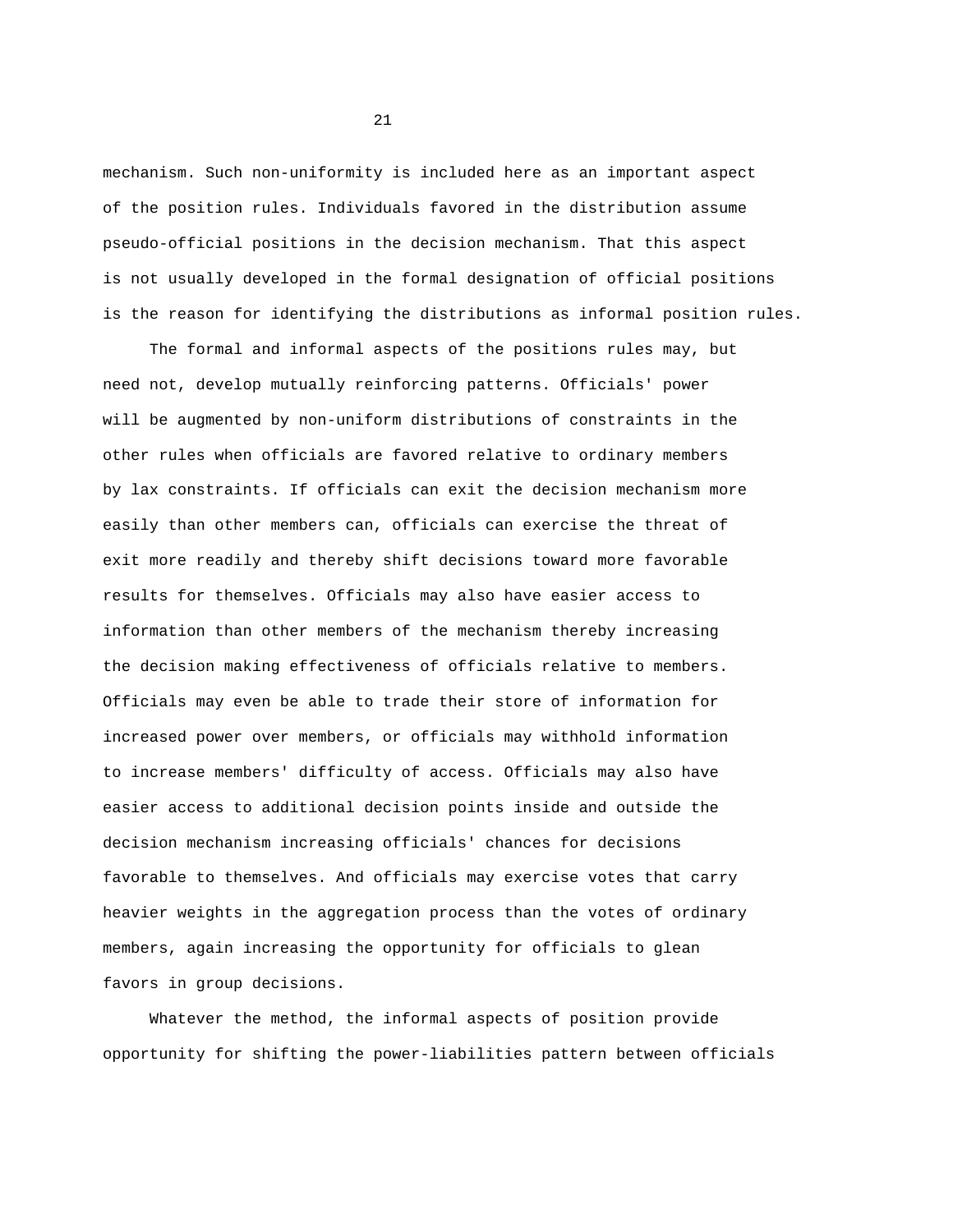mechanism. Such non-uniformity is included here as an important aspect of the position rules. Individuals favored in the distribution assume pseudo-official positions in the decision mechanism. That this aspect is not usually developed in the formal designation of official positions is the reason for identifying the distributions as informal position rules.

The formal and informal aspects of the positions rules may, but need not, develop mutually reinforcing patterns. Officials' power will be augmented by non-uniform distributions of constraints in the other rules when officials are favored relative to ordinary members by lax constraints. If officials can exit the decision mechanism more easily than other members can, officials can exercise the threat of exit more readily and thereby shift decisions toward more favorable results for themselves. Officials may also have easier access to information than other members of the mechanism thereby increasing the decision making effectiveness of officials relative to members. Officials may even be able to trade their store of information for increased power over members, or officials may withhold information to increase members' difficulty of access. Officials may also have easier access to additional decision points inside and outside the decision mechanism increasing officials' chances for decisions favorable to themselves. And officials may exercise votes that carry heavier weights in the aggregation process than the votes of ordinary members, again increasing the opportunity for officials to glean favors in group decisions.

Whatever the method, the informal aspects of position provide opportunity for shifting the power-liabilities pattern between officials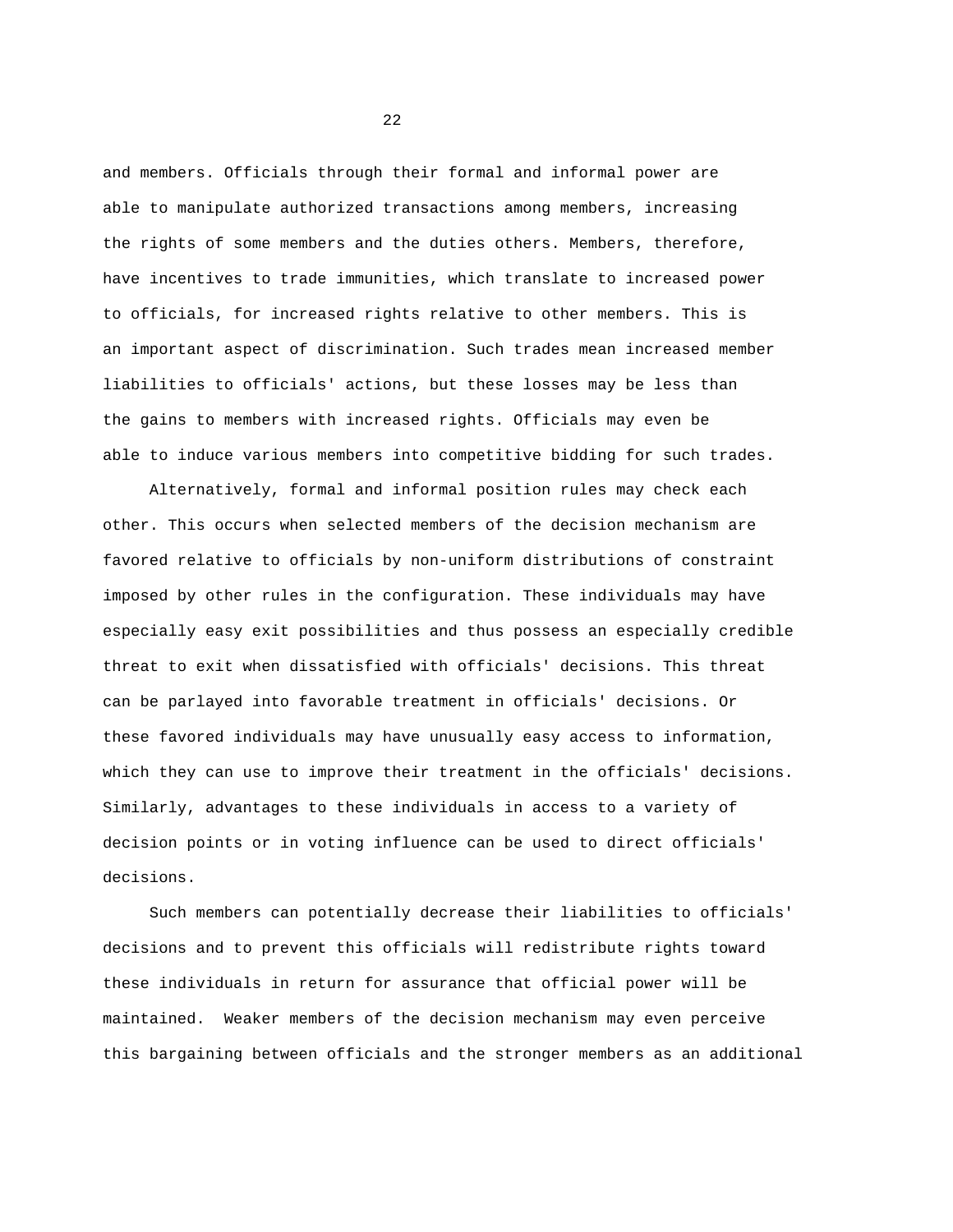and members. Officials through their formal and informal power are able to manipulate authorized transactions among members, increasing the rights of some members and the duties others. Members, therefore, have incentives to trade immunities, which translate to increased power to officials, for increased rights relative to other members. This is an important aspect of discrimination. Such trades mean increased member liabilities to officials' actions, but these losses may be less than the gains to members with increased rights. Officials may even be able to induce various members into competitive bidding for such trades.

Alternatively, formal and informal position rules may check each other. This occurs when selected members of the decision mechanism are favored relative to officials by non-uniform distributions of constraint imposed by other rules in the configuration. These individuals may have especially easy exit possibilities and thus possess an especially credible threat to exit when dissatisfied with officials' decisions. This threat can be parlayed into favorable treatment in officials' decisions. Or these favored individuals may have unusually easy access to information, which they can use to improve their treatment in the officials' decisions. Similarly, advantages to these individuals in access to a variety of decision points or in voting influence can be used to direct officials' decisions.

Such members can potentially decrease their liabilities to officials' decisions and to prevent this officials will redistribute rights toward these individuals in return for assurance that official power will be maintained. Weaker members of the decision mechanism may even perceive this bargaining between officials and the stronger members as an additional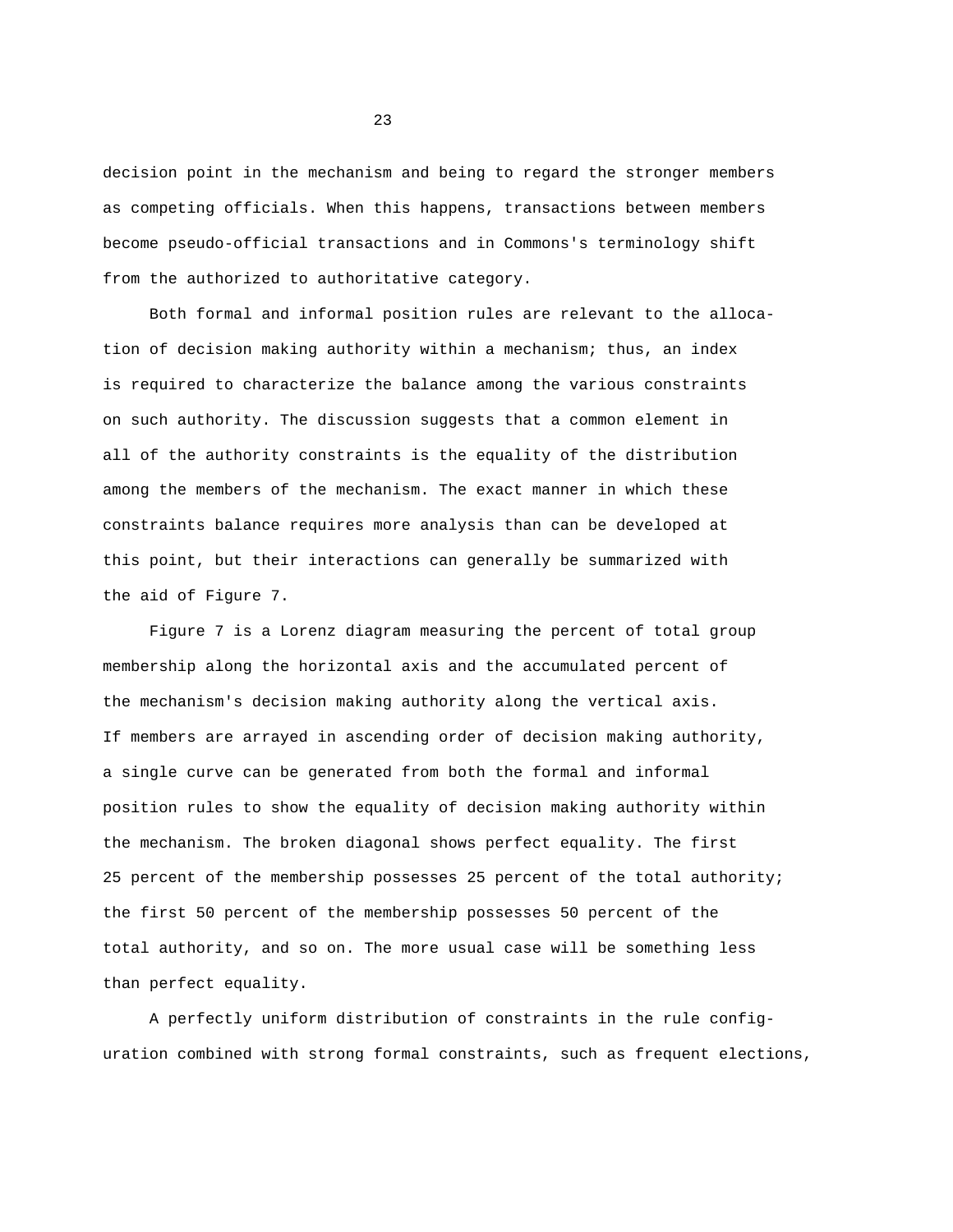decision point in the mechanism and being to regard the stronger members as competing officials. When this happens, transactions between members become pseudo-official transactions and in Commons's terminology shift from the authorized to authoritative category.

Both formal and informal position rules are relevant to the allocation of decision making authority within a mechanism; thus, an index is required to characterize the balance among the various constraints on such authority. The discussion suggests that a common element in all of the authority constraints is the equality of the distribution among the members of the mechanism. The exact manner in which these constraints balance requires more analysis than can be developed at this point, but their interactions can generally be summarized with the aid of Figure 7.

Figure 7 is a Lorenz diagram measuring the percent of total group membership along the horizontal axis and the accumulated percent of the mechanism's decision making authority along the vertical axis. If members are arrayed in ascending order of decision making authority, a single curve can be generated from both the formal and informal position rules to show the equality of decision making authority within the mechanism. The broken diagonal shows perfect equality. The first 25 percent of the membership possesses 25 percent of the total authority; the first 50 percent of the membership possesses 50 percent of the total authority, and so on. The more usual case will be something less than perfect equality.

A perfectly uniform distribution of constraints in the rule configuration combined with strong formal constraints, such as frequent elections,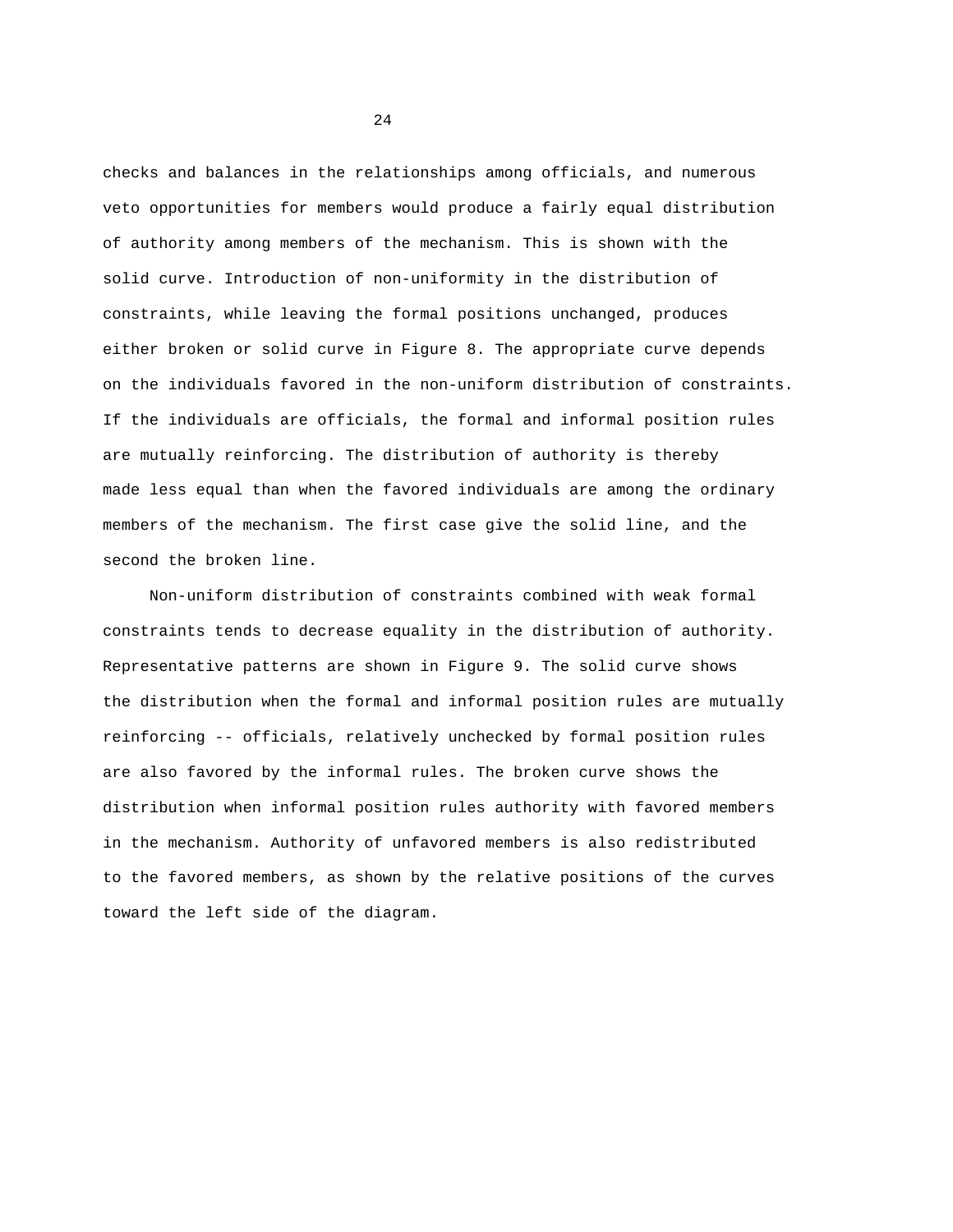checks and balances in the relationships among officials, and numerous veto opportunities for members would produce a fairly equal distribution of authority among members of the mechanism. This is shown with the solid curve. Introduction of non-uniformity in the distribution of constraints, while leaving the formal positions unchanged, produces either broken or solid curve in Figure 8. The appropriate curve depends on the individuals favored in the non-uniform distribution of constraints. If the individuals are officials, the formal and informal position rules are mutually reinforcing. The distribution of authority is thereby made less equal than when the favored individuals are among the ordinary members of the mechanism. The first case give the solid line, and the second the broken line.

Non-uniform distribution of constraints combined with weak formal constraints tends to decrease equality in the distribution of authority. Representative patterns are shown in Figure 9. The solid curve shows the distribution when the formal and informal position rules are mutually reinforcing -- officials, relatively unchecked by formal position rules are also favored by the informal rules. The broken curve shows the distribution when informal position rules authority with favored members in the mechanism. Authority of unfavored members is also redistributed to the favored members, as shown by the relative positions of the curves toward the left side of the diagram.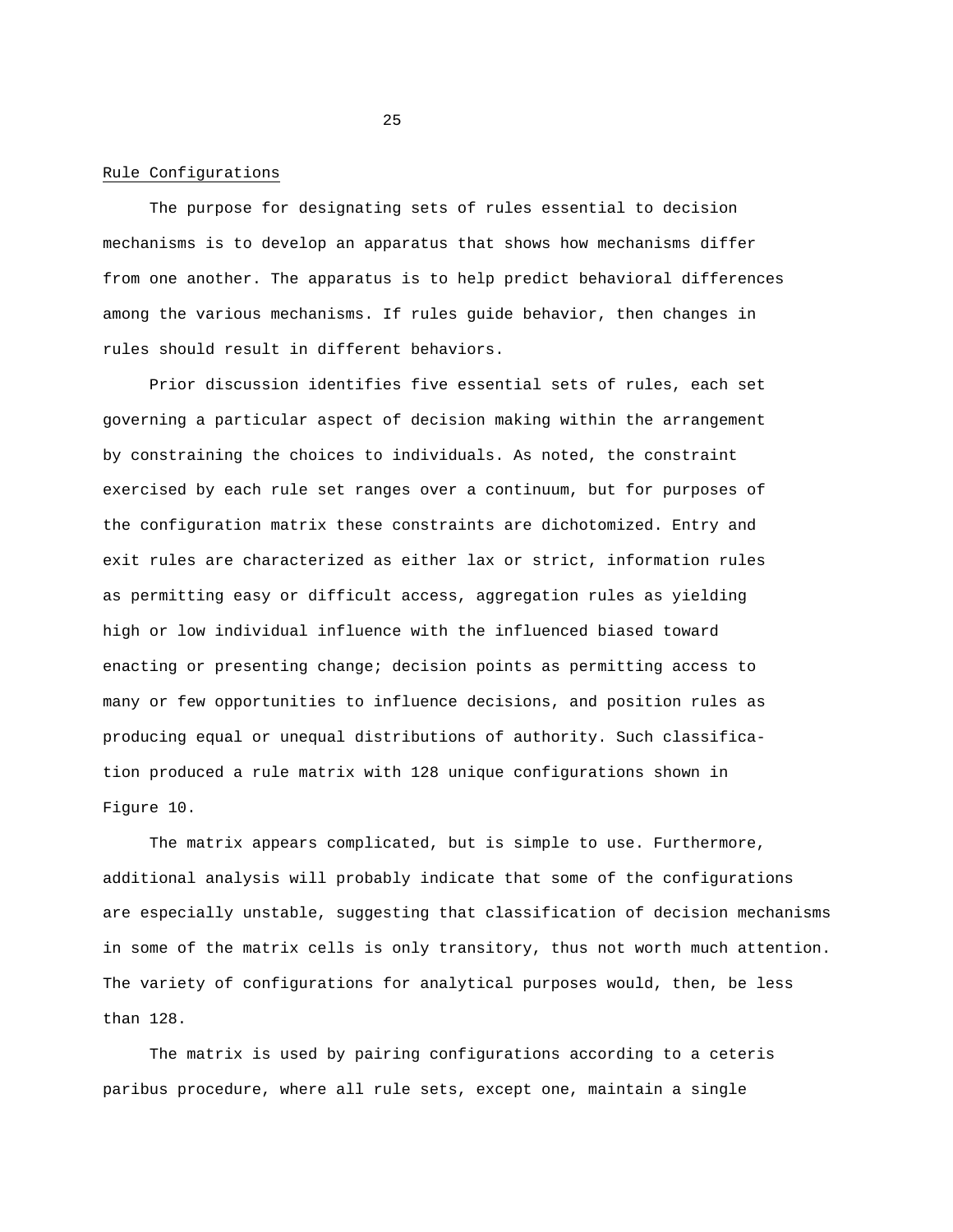#### Rule Configurations

The purpose for designating sets of rules essential to decision mechanisms is to develop an apparatus that shows how mechanisms differ from one another. The apparatus is to help predict behavioral differences among the various mechanisms. If rules guide behavior, then changes in rules should result in different behaviors.

Prior discussion identifies five essential sets of rules, each set governing a particular aspect of decision making within the arrangement by constraining the choices to individuals. As noted, the constraint exercised by each rule set ranges over a continuum, but for purposes of the configuration matrix these constraints are dichotomized. Entry and exit rules are characterized as either lax or strict, information rules as permitting easy or difficult access, aggregation rules as yielding high or low individual influence with the influenced biased toward enacting or presenting change; decision points as permitting access to many or few opportunities to influence decisions, and position rules as producing equal or unequal distributions of authority. Such classification produced a rule matrix with 128 unique configurations shown in Figure 10.

The matrix appears complicated, but is simple to use. Furthermore, additional analysis will probably indicate that some of the configurations are especially unstable, suggesting that classification of decision mechanisms in some of the matrix cells is only transitory, thus not worth much attention. The variety of configurations for analytical purposes would, then, be less than 128.

The matrix is used by pairing configurations according to a ceteris paribus procedure, where all rule sets, except one, maintain a single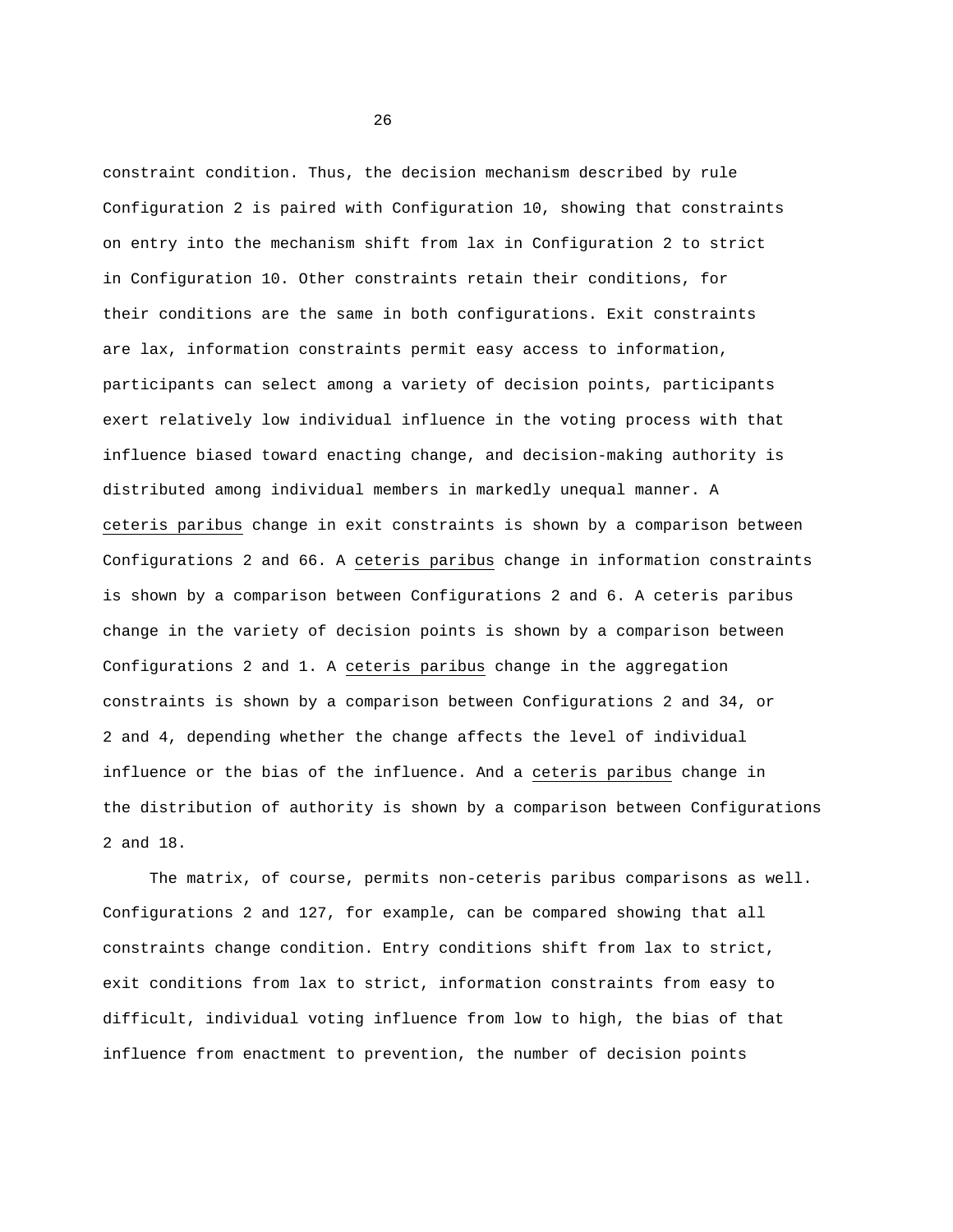constraint condition. Thus, the decision mechanism described by rule Configuration 2 is paired with Configuration 10, showing that constraints on entry into the mechanism shift from lax in Configuration 2 to strict in Configuration 10. Other constraints retain their conditions, for their conditions are the same in both configurations. Exit constraints are lax, information constraints permit easy access to information, participants can select among a variety of decision points, participants exert relatively low individual influence in the voting process with that influence biased toward enacting change, and decision-making authority is distributed among individual members in markedly unequal manner. A ceteris paribus change in exit constraints is shown by a comparison between Configurations 2 and 66. A ceteris paribus change in information constraints is shown by a comparison between Configurations 2 and 6. A ceteris paribus change in the variety of decision points is shown by a comparison between Configurations 2 and 1. A ceteris paribus change in the aggregation constraints is shown by a comparison between Configurations 2 and 34, or 2 and 4, depending whether the change affects the level of individual influence or the bias of the influence. And a ceteris paribus change in the distribution of authority is shown by a comparison between Configurations 2 and 18.

The matrix, of course, permits non-ceteris paribus comparisons as well. Configurations 2 and 127, for example, can be compared showing that all constraints change condition. Entry conditions shift from lax to strict, exit conditions from lax to strict, information constraints from easy to difficult, individual voting influence from low to high, the bias of that influence from enactment to prevention, the number of decision points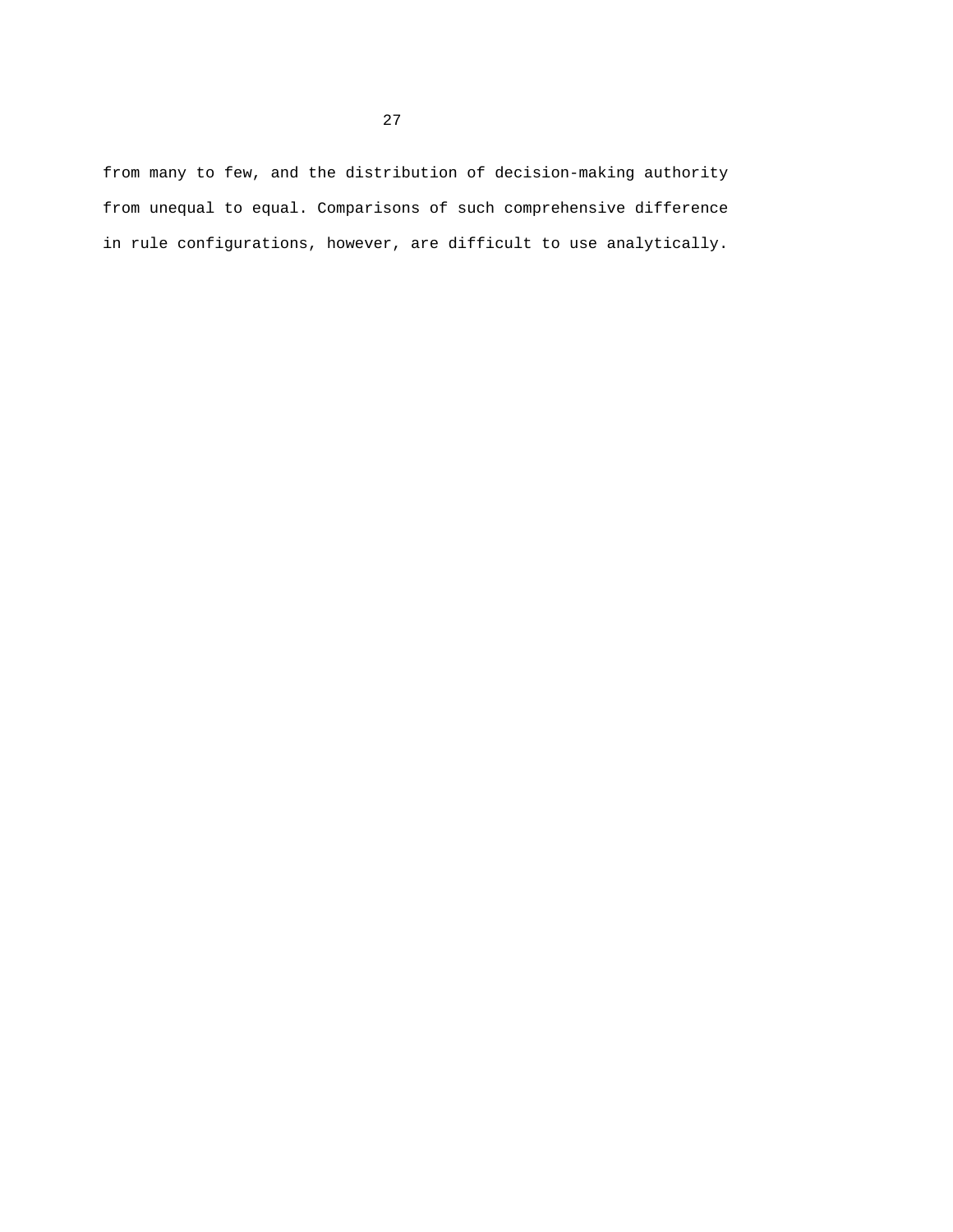from many to few, and the distribution of decision-making authority from unequal to equal. Comparisons of such comprehensive difference in rule configurations, however, are difficult to use analytically.